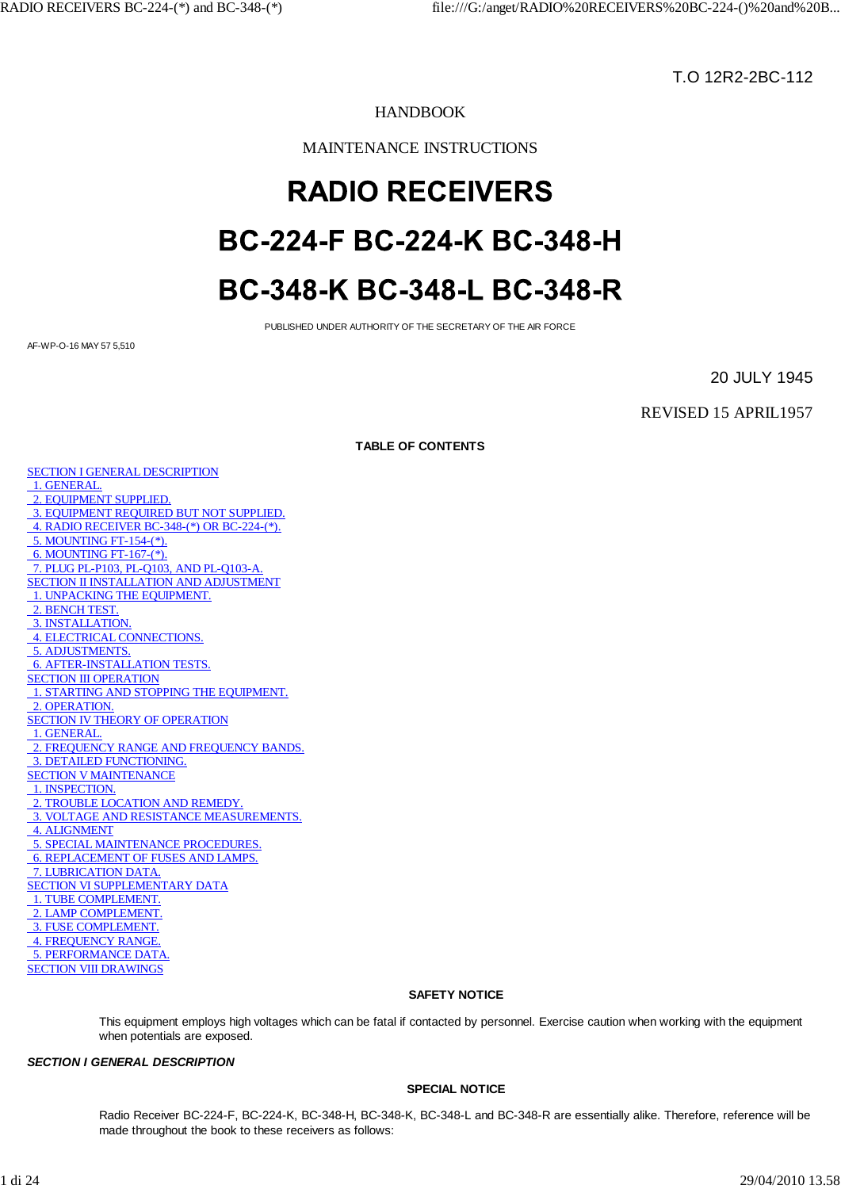T.O 12R2-2BC-112

# HANDBOOK

MAINTENANCE INSTRUCTIONS

# **RADIO RECEIVERS** BC-224-F BC-224-K BC-348-H BC-348-K BC-348-L BC-348-R

PUBLISHED UNDER AUTHORITY OF THE SECRETARY OF THE AIR FORCE

AF-WP-O-16 MAY 57 5,510

20 JULY 1945

REVISED 15 APRIL1957

**TABLE OF CONTENTS**

SECTION I GENERAL DESCRIPTION 1. GENERAL. 2. EQUIPMENT SUPPLIED. 3. EQUIPMENT REQUIRED BUT NOT SUPPLIED. 4. RADIO RECEIVER BC-348-(\*) OR BC-224-(\*). 5. MOUNTING FT-154-(\*). 6. MOUNTING FT-167-(\*). 7. PLUG PL-P103, PL-Q103, AND PL-Q103-A. SECTION II INSTALLATION AND ADJUSTMENT 1. UNPACKING THE EQUIPMENT. 2. BENCH TEST. 3. INSTALLATION. 4. ELECTRICAL CONNECTIONS. 5. ADJUSTMENTS. 6. AFTER-INSTALLATION TESTS. SECTION III OPERATION 1. STARTING AND STOPPING THE EQUIPMENT. 2. OPERATION. SECTION IV THEORY OF OPERATION 1. GENERAL. 2. FREQUENCY RANGE AND FREQUENCY BANDS. 3. DETAILED FUNCTIONING. SECTION V MAINTENANCE 1. INSPECTION. 2. TROUBLE LOCATION AND REMEDY. 3. VOLTAGE AND RESISTANCE MEASUREMENTS. 4. ALIGNMENT 5. SPECIAL MAINTENANCE PROCEDURES. 6. REPLACEMENT OF FUSES AND LAMPS. 7. LUBRICATION DATA. SECTION VI SUPPLEMENTARY DATA 1. TUBE COMPLEMENT. 2. LAMP COMPLEMENT. 3. FUSE COMPLEMENT. 4. FREQUENCY RANGE. 5. PERFORMANCE DATA. SECTION VIII DRAWINGS

## **SAFETY NOTICE**

This equipment employs high voltages which can be fatal if contacted by personnel. Exercise caution when working with the equipment when potentials are exposed.

## *SECTION I GENERAL DESCRIPTION*

## **SPECIAL NOTICE**

Radio Receiver BC-224-F, BC-224-K, BC-348-H, BC-348-K, BC-348-L and BC-348-R are essentially alike. Therefore, reference will be made throughout the book to these receivers as follows: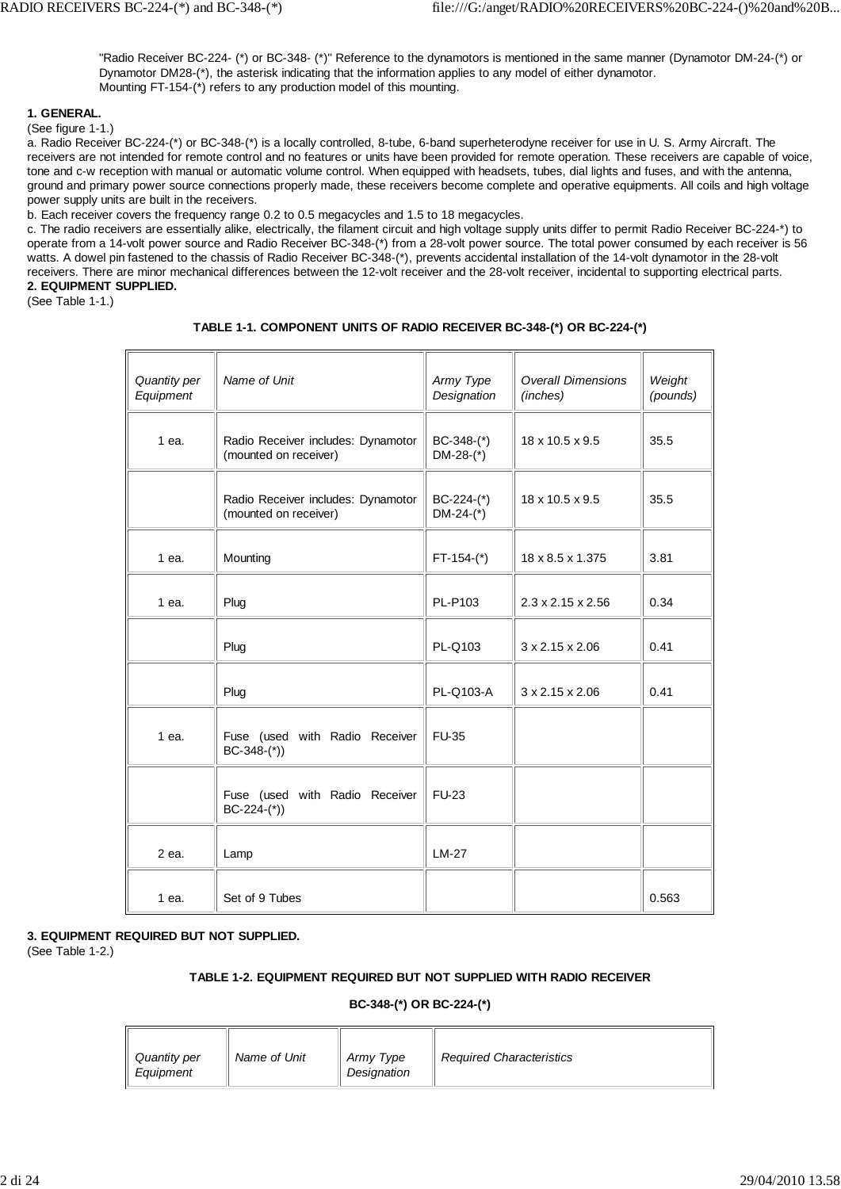"Radio Receiver BC-224- (\*) or BC-348- (\*)" Reference to the dynamotors is mentioned in the same manner (Dynamotor DM-24-(\*) or Dynamotor DM28-(\*), the asterisk indicating that the information applies to any model of either dynamotor. Mounting FT-154-(\*) refers to any production model of this mounting.

## **1. GENERAL.**

(See figure 1-1.)

a. Radio Receiver BC-224-(\*) or BC-348-(\*) is a locally controlled, 8-tube, 6-band superheterodyne receiver for use in U. S. Army Aircraft. The receivers are not intended for remote control and no features or units have been provided for remote operation. These receivers are capable of voice, tone and c-w reception with manual or automatic volume control. When equipped with headsets, tubes, dial lights and fuses, and with the antenna, ground and primary power source connections properly made, these receivers become complete and operative equipments. All coils and high voltage power supply units are built in the receivers.

b. Each receiver covers the frequency range 0.2 to 0.5 megacycles and 1.5 to 18 megacycles.

c. The radio receivers are essentially alike, electrically, the filament circuit and high voltage supply units differ to permit Radio Receiver BC-224-\*) to operate from a 14-volt power source and Radio Receiver BC-348-(\*) from a 28-volt power source. The total power consumed by each receiver is 56 watts. A dowel pin fastened to the chassis of Radio Receiver BC-348-(\*), prevents accidental installation of the 14-volt dynamotor in the 28-volt receivers. There are minor mechanical differences between the 12-volt receiver and the 28-volt receiver, incidental to supporting electrical parts. **2. EQUIPMENT SUPPLIED.**

(See Table 1-1.)

## **TABLE 1-1. COMPONENT UNITS OF RADIO RECEIVER BC-348-(\*) OR BC-224-(\*)**

| Quantity per<br>Equipment | Name of Unit                                                | Army Type<br>Designation    | <b>Overall Dimensions</b><br>(inches) | Weight<br>(pounds) |
|---------------------------|-------------------------------------------------------------|-----------------------------|---------------------------------------|--------------------|
| 1 ea.                     | Radio Receiver includes: Dynamotor<br>(mounted on receiver) | $BC-348-(*)$<br>$DM-28-(*)$ | 18 x 10.5 x 9.5                       | 35.5               |
|                           | Radio Receiver includes: Dynamotor<br>(mounted on receiver) | $BC-224-(*)$<br>$DM-24-(*)$ | 18 x 10.5 x 9.5                       | 35.5               |
| 1 ea.                     | Mounting                                                    | $FT-154-(*)$                | 18 x 8.5 x 1.375                      | 3.81               |
| 1 ea.                     | Plug                                                        | PL-P103                     | $2.3 \times 2.15 \times 2.56$         | 0.34               |
|                           | Plug                                                        | PL-Q103                     | $3 \times 2.15 \times 2.06$           | 0.41               |
|                           | Plug                                                        | PL-Q103-A                   | $3 \times 2.15 \times 2.06$           | 0.41               |
| 1 ea.                     | Fuse (used with Radio Receiver<br>$BC-348-(*)$              | <b>FU-35</b>                |                                       |                    |
|                           | Fuse (used with Radio Receiver<br>$BC-224-(*)$              | <b>FU-23</b>                |                                       |                    |
| 2 ea.                     | Lamp                                                        | <b>LM-27</b>                |                                       |                    |
| 1 ea.                     | Set of 9 Tubes                                              |                             |                                       | 0.563              |

## **3. EQUIPMENT REQUIRED BUT NOT SUPPLIED.**

(See Table 1-2.)

## **TABLE 1-2. EQUIPMENT REQUIRED BUT NOT SUPPLIED WITH RADIO RECEIVER**

#### **BC-348-(\*) OR BC-224-(\*)**

| Quantity per<br>Equipment | Name of Unit | Army Type<br>Designation | <b>Required Characteristics</b> |  |
|---------------------------|--------------|--------------------------|---------------------------------|--|
|---------------------------|--------------|--------------------------|---------------------------------|--|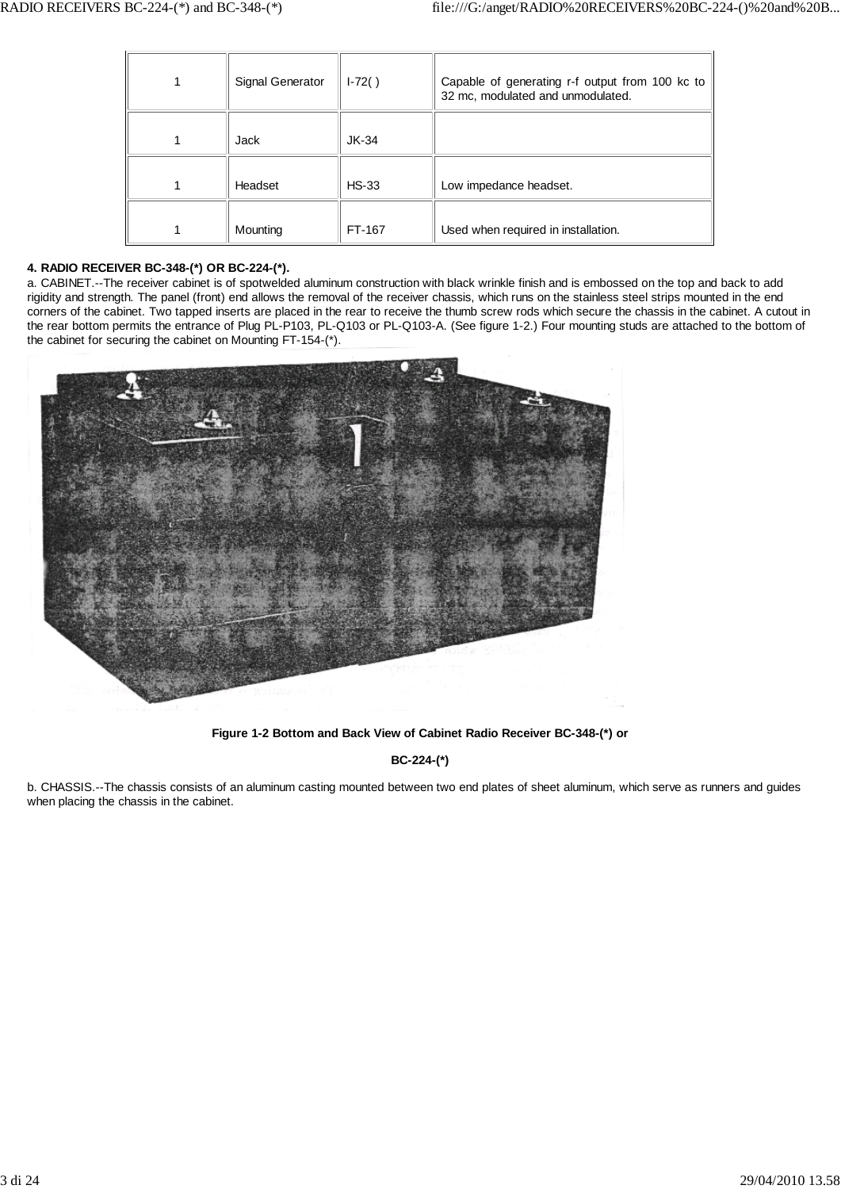| Signal Generator | $1-72()$ | Capable of generating r-f output from 100 kc to<br>32 mc, modulated and unmodulated. |
|------------------|----------|--------------------------------------------------------------------------------------|
| Jack             | $JK-34$  |                                                                                      |
| Headset          | $HS-33$  | Low impedance headset.                                                               |
| Mounting         | FT-167   | Used when required in installation.                                                  |

## **4. RADIO RECEIVER BC-348-(\*) OR BC-224-(\*).**

a. CABINET.--The receiver cabinet is of spotwelded aluminum construction with black wrinkle finish and is embossed on the top and back to add rigidity and strength. The panel (front) end allows the removal of the receiver chassis, which runs on the stainless steel strips mounted in the end corners of the cabinet. Two tapped inserts are placed in the rear to receive the thumb screw rods which secure the chassis in the cabinet. A cutout in the rear bottom permits the entrance of Plug PL-P103, PL-Q103 or PL-Q103-A. (See figure 1-2.) Four mounting studs are attached to the bottom of the cabinet for securing the cabinet on Mounting FT-154-(\*).



**Figure 1-2 Bottom and Back View of Cabinet Radio Receiver BC-348-(\*) or**

**BC-224-(\*)**

b. CHASSIS.--The chassis consists of an aluminum casting mounted between two end plates of sheet aluminum, which serve as runners and guides when placing the chassis in the cabinet.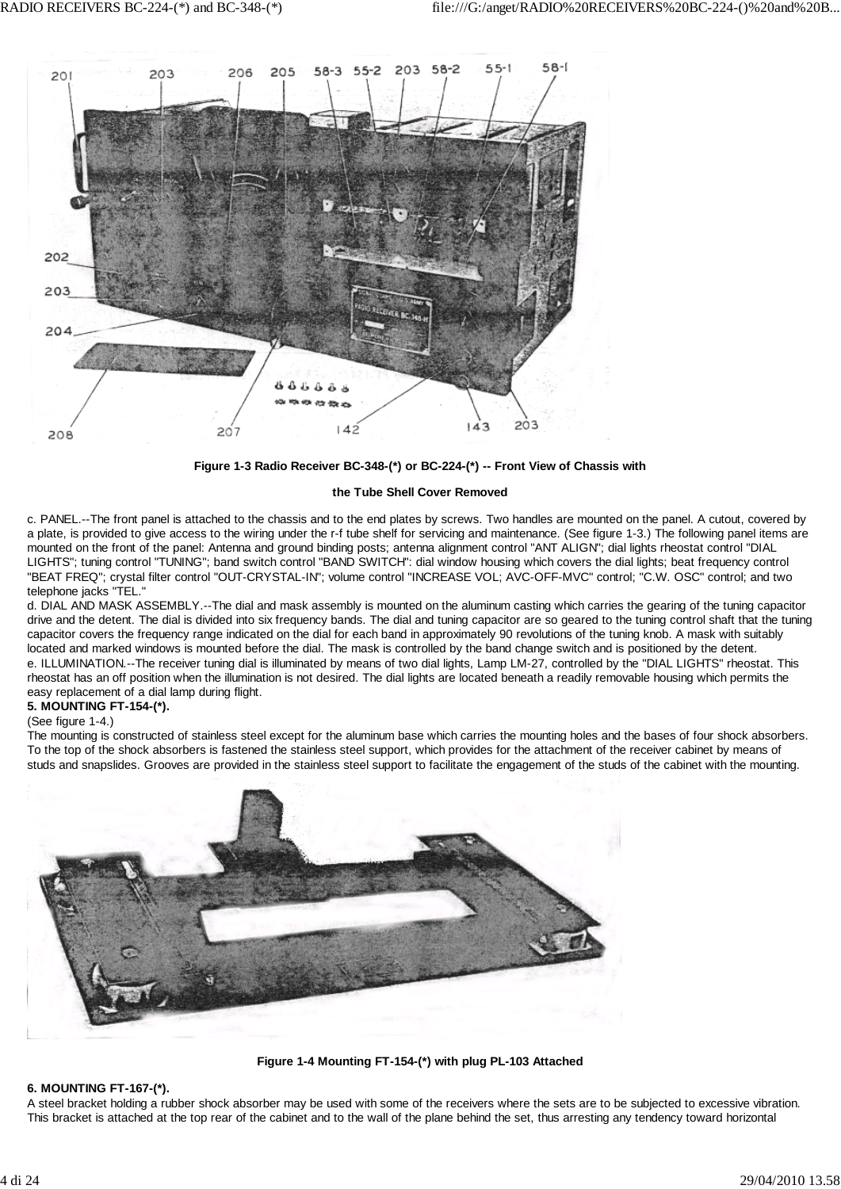

**Figure 1-3 Radio Receiver BC-348-(\*) or BC-224-(\*) -- Front View of Chassis with**

## **the Tube Shell Cover Removed**

c. PANEL.--The front panel is attached to the chassis and to the end plates by screws. Two handles are mounted on the panel. A cutout, covered by a plate, is provided to give access to the wiring under the r-f tube shelf for servicing and maintenance. (See figure 1-3.) The following panel items are mounted on the front of the panel: Antenna and ground binding posts; antenna alignment control "ANT ALIGN"; dial lights rheostat control "DIAL LIGHTS"; tuning control "TUNING"; band switch control "BAND SWITCH": dial window housing which covers the dial lights; beat frequency control "BEAT FREQ"; crystal filter control "OUT-CRYSTAL-IN"; volume control "INCREASE VOL; AVC-OFF-MVC" control; "C.W. OSC" control; and two telephone jacks "TEL."

d. DIAL AND MASK ASSEMBLY.--The dial and mask assembly is mounted on the aluminum casting which carries the gearing of the tuning capacitor drive and the detent. The dial is divided into six frequency bands. The dial and tuning capacitor are so geared to the tuning control shaft that the tuning capacitor covers the frequency range indicated on the dial for each band in approximately 90 revolutions of the tuning knob. A mask with suitably located and marked windows is mounted before the dial. The mask is controlled by the band change switch and is positioned by the detent. e. ILLUMINATION.--The receiver tuning dial is illuminated by means of two dial lights, Lamp LM-27, controlled by the "DIAL LIGHTS" rheostat. This rheostat has an off position when the illumination is not desired. The dial lights are located beneath a readily removable housing which permits the easy replacement of a dial lamp during flight.

# **5. MOUNTING FT-154-(\*).**

(See figure 1-4.)

The mounting is constructed of stainless steel except for the aluminum base which carries the mounting holes and the bases of four shock absorbers. To the top of the shock absorbers is fastened the stainless steel support, which provides for the attachment of the receiver cabinet by means of studs and snapslides. Grooves are provided in the stainless steel support to facilitate the engagement of the studs of the cabinet with the mounting.



**Figure 1-4 Mounting FT-154-(\*) with plug PL-103 Attached**

# **6. MOUNTING FT-167-(\*).**

A steel bracket holding a rubber shock absorber may be used with some of the receivers where the sets are to be subjected to excessive vibration. This bracket is attached at the top rear of the cabinet and to the wall of the plane behind the set, thus arresting any tendency toward horizontal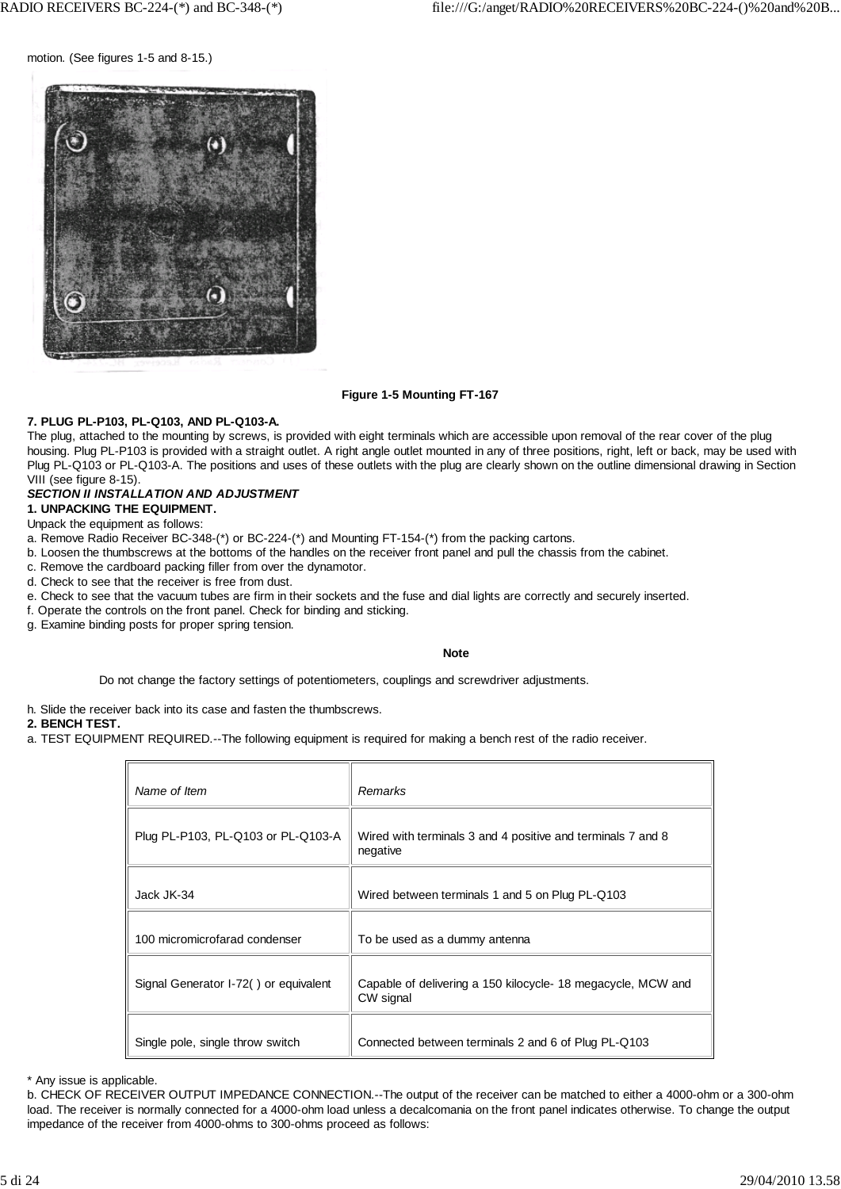motion. (See figures 1-5 and 8-15.)



#### **Figure 1-5 Mounting FT-167**

#### **7. PLUG PL-P103, PL-Q103, AND PL-Q103-A.**

The plug, attached to the mounting by screws, is provided with eight terminals which are accessible upon removal of the rear cover of the plug housing. Plug PL-P103 is provided with a straight outlet. A right angle outlet mounted in any of three positions, right, left or back, may be used with Plug PL-Q103 or PL-Q103-A. The positions and uses of these outlets with the plug are clearly shown on the outline dimensional drawing in Section VIII (see figure 8-15).

#### *SECTION II INSTALLATION AND ADJUSTMENT*

**1. UNPACKING THE EQUIPMENT.**

#### Unpack the equipment as follows:

- a. Remove Radio Receiver BC-348-(\*) or BC-224-(\*) and Mounting FT-154-(\*) from the packing cartons.
- b. Loosen the thumbscrews at the bottoms of the handles on the receiver front panel and pull the chassis from the cabinet.
- c. Remove the cardboard packing filler from over the dynamotor.
- d. Check to see that the receiver is free from dust.
- e. Check to see that the vacuum tubes are firm in their sockets and the fuse and dial lights are correctly and securely inserted.
- f. Operate the controls on the front panel. Check for binding and sticking.
- g. Examine binding posts for proper spring tension.

#### **Note**

Do not change the factory settings of potentiometers, couplings and screwdriver adjustments.

h. Slide the receiver back into its case and fasten the thumbscrews.

#### **2. BENCH TEST.**

a. TEST EQUIPMENT REQUIRED.--The following equipment is required for making a bench rest of the radio receiver.

| Name of Item                          | Remarks                                                                  |
|---------------------------------------|--------------------------------------------------------------------------|
| Plug PL-P103, PL-Q103 or PL-Q103-A    | Wired with terminals 3 and 4 positive and terminals 7 and 8<br>negative  |
| Jack JK-34                            | Wired between terminals 1 and 5 on Plug PL-Q103                          |
| 100 micromicrofarad condenser         | To be used as a dummy antenna                                            |
| Signal Generator I-72() or equivalent | Capable of delivering a 150 kilocycle-18 megacycle, MCW and<br>CW signal |
| Single pole, single throw switch      | Connected between terminals 2 and 6 of Plug PL-Q103                      |

\* Any issue is applicable.

b. CHECK OF RECEIVER OUTPUT IMPEDANCE CONNECTION.--The output of the receiver can be matched to either a 4000-ohm or a 300-ohm load. The receiver is normally connected for a 4000-ohm load unless a decalcomania on the front panel indicates otherwise. To change the output impedance of the receiver from 4000-ohms to 300-ohms proceed as follows: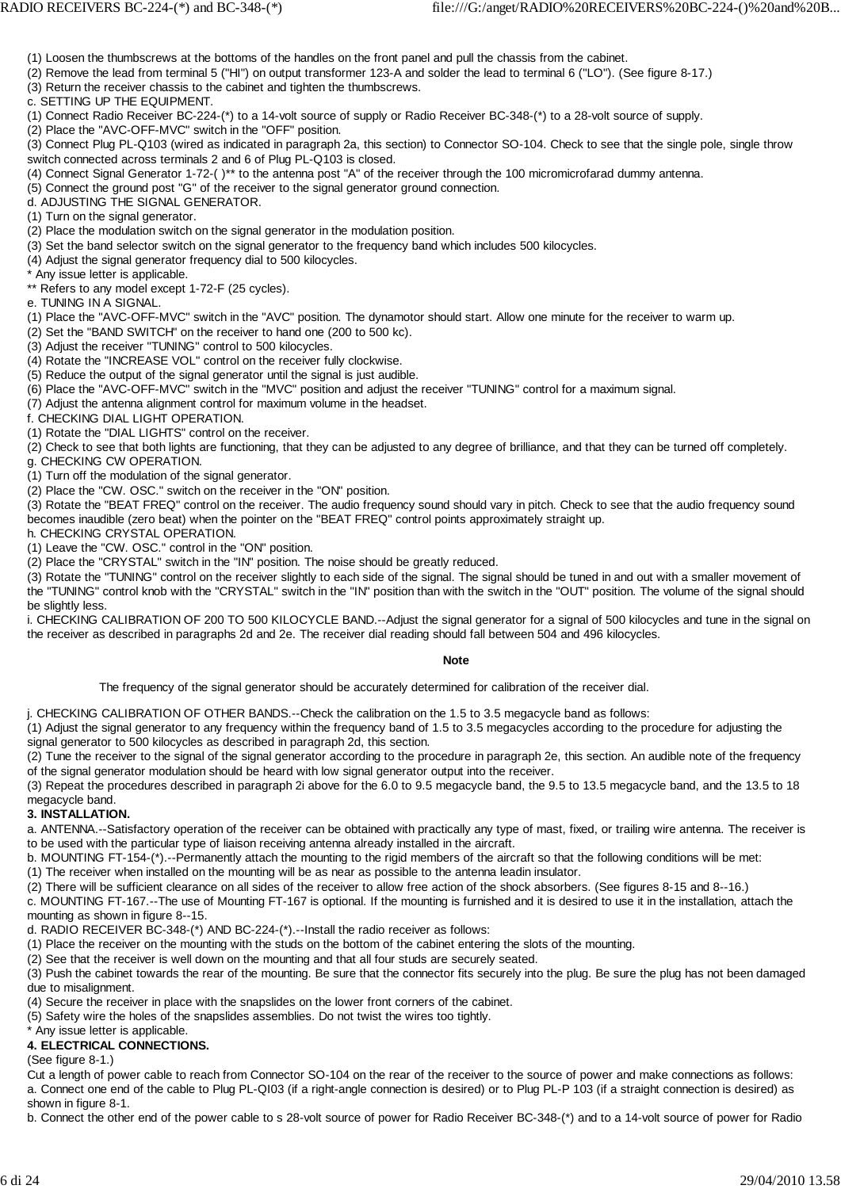(1) Loosen the thumbscrews at the bottoms of the handles on the front panel and pull the chassis from the cabinet.

(2) Remove the lead from terminal 5 ("HI") on output transformer 123-A and solder the lead to terminal 6 ("LO"). (See figure 8-17.)

(3) Return the receiver chassis to the cabinet and tighten the thumbscrews.

c. SETTING UP THE EQUIPMENT.

(1) Connect Radio Receiver BC-224-(\*) to a 14-volt source of supply or Radio Receiver BC-348-(\*) to a 28-volt source of supply.

(2) Place the "AVC-OFF-MVC" switch in the "OFF" position.

(3) Connect Plug PL-Q103 (wired as indicated in paragraph 2a, this section) to Connector SO-104. Check to see that the single pole, single throw switch connected across terminals 2 and 6 of Plug PL-Q103 is closed.

(4) Connect Signal Generator 1-72-( )\*\* to the antenna post "A" of the receiver through the 100 micromicrofarad dummy antenna.

(5) Connect the ground post "G" of the receiver to the signal generator ground connection.

d. ADJUSTING THE SIGNAL GENERATOR.

(1) Turn on the signal generator.

(2) Place the modulation switch on the signal generator in the modulation position.

(3) Set the band selector switch on the signal generator to the frequency band which includes 500 kilocycles.

(4) Adjust the signal generator frequency dial to 500 kilocycles.

Any issue letter is applicable.

\*\* Refers to any model except 1-72-F (25 cycles).

e. TUNING IN A SIGNAL.

(1) Place the "AVC-OFF-MVC" switch in the "AVC" position. The dynamotor should start. Allow one minute for the receiver to warm up.

(2) Set the "BAND SWITCH" on the receiver to hand one (200 to 500 kc).

(3) Adjust the receiver "TUNING" control to 500 kilocycles.

(4) Rotate the "INCREASE VOL" control on the receiver fully clockwise.

(5) Reduce the output of the signal generator until the signal is just audible.

(6) Place the "AVC-OFF-MVC" switch in the "MVC" position and adjust the receiver "TUNING" control for a maximum signal.

(7) Adjust the antenna alignment control for maximum volume in the headset.

f. CHECKING DIAL LIGHT OPERATION.

(1) Rotate the "DIAL LIGHTS" control on the receiver.

(2) Check to see that both lights are functioning, that they can be adjusted to any degree of brilliance, and that they can be turned off completely. g. CHECKING CW OPERATION.

(1) Turn off the modulation of the signal generator.

(2) Place the "CW. OSC." switch on the receiver in the "ON" position.

(3) Rotate the "BEAT FREQ" control on the receiver. The audio frequency sound should vary in pitch. Check to see that the audio frequency sound becomes inaudible (zero beat) when the pointer on the "BEAT FREQ" control points approximately straight up.

h. CHECKING CRYSTAL OPERATION.

(1) Leave the "CW. OSC." control in the "ON" position.

(2) Place the "CRYSTAL" switch in the "IN" position. The noise should be greatly reduced.

(3) Rotate the "TUNING" control on the receiver slightly to each side of the signal. The signal should be tuned in and out with a smaller movement of the "TUNING" control knob with the "CRYSTAL" switch in the "IN" position than with the switch in the "OUT" position. The volume of the signal should be slightly less.

i. CHECKING CALIBRATION OF 200 TO 500 KILOCYCLE BAND.--Adjust the signal generator for a signal of 500 kilocycles and tune in the signal on the receiver as described in paragraphs 2d and 2e. The receiver dial reading should fall between 504 and 496 kilocycles.

#### **Note**

The frequency of the signal generator should be accurately determined for calibration of the receiver dial.

j. CHECKING CALIBRATION OF OTHER BANDS.--Check the calibration on the 1.5 to 3.5 megacycle band as follows:

(1) Adjust the signal generator to any frequency within the frequency band of 1.5 to 3.5 megacycles according to the procedure for adjusting the signal generator to 500 kilocycles as described in paragraph 2d, this section.

(2) Tune the receiver to the signal of the signal generator according to the procedure in paragraph 2e, this section. An audible note of the frequency of the signal generator modulation should be heard with low signal generator output into the receiver.

(3) Repeat the procedures described in paragraph 2i above for the 6.0 to 9.5 megacycle band, the 9.5 to 13.5 megacycle band, and the 13.5 to 18 megacycle band.

## **3. INSTALLATION.**

a. ANTENNA.--Satisfactory operation of the receiver can be obtained with practically any type of mast, fixed, or trailing wire antenna. The receiver is to be used with the particular type of liaison receiving antenna already installed in the aircraft.

b. MOUNTING FT-154-(\*).--Permanently attach the mounting to the rigid members of the aircraft so that the following conditions will be met:

(1) The receiver when installed on the mounting will be as near as possible to the antenna leadin insulator.

(2) There will be sufficient clearance on all sides of the receiver to allow free action of the shock absorbers. (See figures 8-15 and 8--16.)

c. MOUNTING FT-167.--The use of Mounting FT-167 is optional. If the mounting is furnished and it is desired to use it in the installation, attach the mounting as shown in figure 8--15.

d. RADIO RECEIVER BC-348-(\*) AND BC-224-(\*).--Install the radio receiver as follows:

(1) Place the receiver on the mounting with the studs on the bottom of the cabinet entering the slots of the mounting.

(2) See that the receiver is well down on the mounting and that all four studs are securely seated.

(3) Push the cabinet towards the rear of the mounting. Be sure that the connector fits securely into the plug. Be sure the plug has not been damaged due to misalignment.

(4) Secure the receiver in place with the snapslides on the lower front corners of the cabinet.

(5) Safety wire the holes of the snapslides assemblies. Do not twist the wires too tightly.

\* Any issue letter is applicable.

## **4. ELECTRICAL CONNECTIONS.**

(See figure 8-1.)

Cut a length of power cable to reach from Connector SO-104 on the rear of the receiver to the source of power and make connections as follows: a. Connect one end of the cable to Plug PL-QI03 (if a right-angle connection is desired) or to Plug PL-P 103 (if a straight connection is desired) as shown in figure 8-1.

b. Connect the other end of the power cable to s 28-volt source of power for Radio Receiver BC-348-(\*) and to a 14-volt source of power for Radio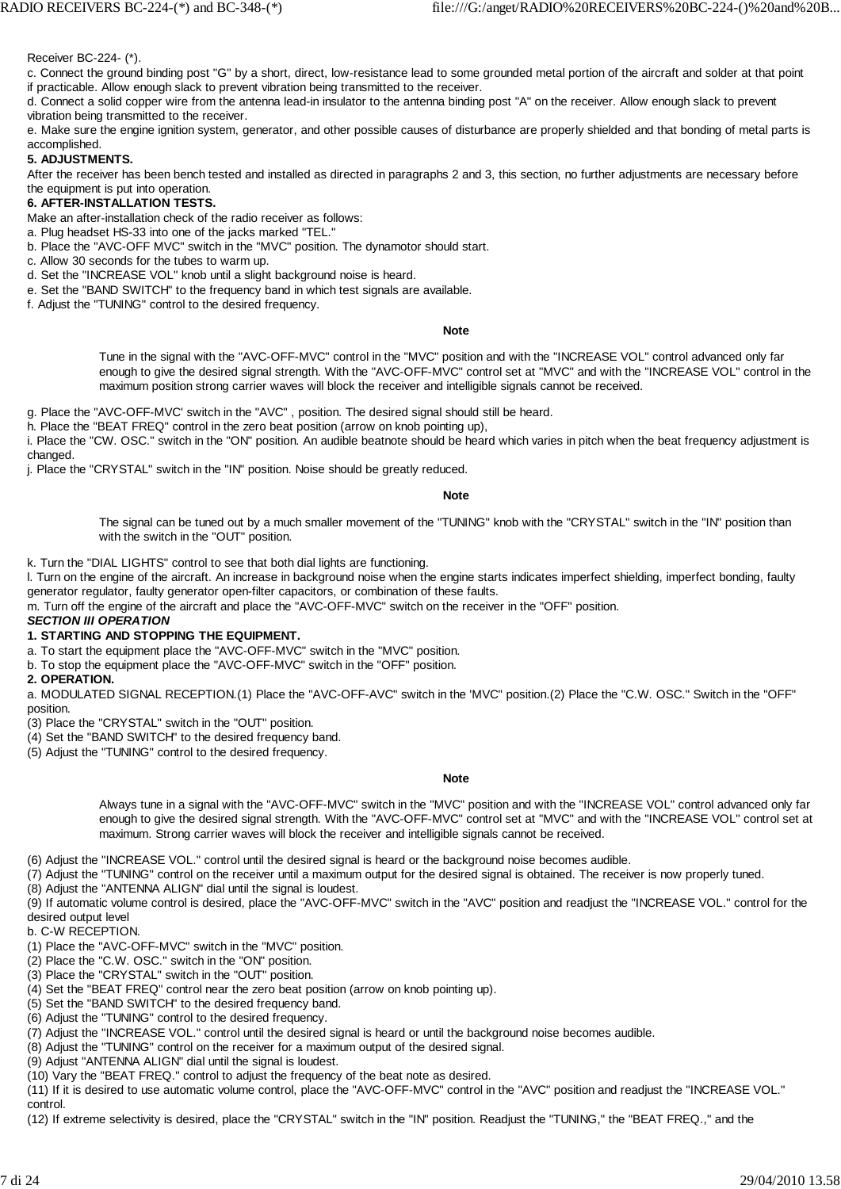Receiver BC-224- (\*).

c. Connect the ground binding post "G" by a short, direct, low-resistance lead to some grounded metal portion of the aircraft and solder at that point if practicable. Allow enough slack to prevent vibration being transmitted to the receiver.

d. Connect a solid copper wire from the antenna lead-in insulator to the antenna binding post "A" on the receiver. Allow enough slack to prevent vibration being transmitted to the receiver.

e. Make sure the engine ignition system, generator, and other possible causes of disturbance are properly shielded and that bonding of metal parts is accomplished.

## **5. ADJUSTMENTS.**

After the receiver has been bench tested and installed as directed in paragraphs 2 and 3, this section, no further adjustments are necessary before the equipment is put into operation.

## **6. AFTER-INSTALLATION TESTS.**

Make an after-installation check of the radio receiver as follows:

a. Plug headset HS-33 into one of the jacks marked "TEL."

b. Place the "AVC-OFF MVC" switch in the "MVC" position. The dynamotor should start.

c. Allow 30 seconds for the tubes to warm up.

d. Set the "INCREASE VOL" knob until a slight background noise is heard.

e. Set the "BAND SWITCH" to the frequency band in which test signals are available.

f. Adjust the "TUNING" control to the desired frequency.

**Note**

Tune in the signal with the "AVC-OFF-MVC" control in the "MVC" position and with the "INCREASE VOL" control advanced only far enough to give the desired signal strength. With the "AVC-OFF-MVC" control set at "MVC" and with the "INCREASE VOL" control in the maximum position strong carrier waves will block the receiver and intelligible signals cannot be received.

g. Place the "AVC-OFF-MVC' switch in the "AVC" , position. The desired signal should still be heard.

h. Place the "BEAT FREQ" control in the zero beat position (arrow on knob pointing up),

i. Place the "CW. OSC." switch in the "ON" position. An audible beatnote should be heard which varies in pitch when the beat frequency adjustment is changed.

j. Place the "CRYSTAL" switch in the "IN" position. Noise should be greatly reduced.

**Note**

The signal can be tuned out by a much smaller movement of the "TUNING" knob with the "CRYSTAL" switch in the "IN" position than with the switch in the "OUT" position.

k. Turn the "DIAL LIGHTS" control to see that both dial lights are functioning.

l. Turn on the engine of the aircraft. An increase in background noise when the engine starts indicates imperfect shielding, imperfect bonding, faulty generator regulator, faulty generator open-filter capacitors, or combination of these faults.

m. Turn off the engine of the aircraft and place the "AVC-OFF-MVC" switch on the receiver in the "OFF" position.

#### *SECTION III OPERATION*

#### **1. STARTING AND STOPPING THE EQUIPMENT.**

a. To start the equipment place the "AVC-OFF-MVC" switch in the "MVC" position.

b. To stop the equipment place the "AVC-OFF-MVC" switch in the "OFF" position.

**2. OPERATION.**

a. MODULATED SIGNAL RECEPTION.(1) Place the "AVC-OFF-AVC" switch in the 'MVC" position.(2) Place the "C.W. OSC." Switch in the "OFF" position.

(3) Place the "CRYSTAL" switch in the "OUT" position.

(4) Set the "BAND SWITCH" to the desired frequency band.

(5) Adjust the "TUNING" control to the desired frequency.

#### **Note**

Always tune in a signal with the "AVC-OFF-MVC" switch in the "MVC" position and with the "INCREASE VOL" control advanced only far enough to give the desired signal strength. With the "AVC-OFF-MVC" control set at "MVC" and with the "INCREASE VOL" control set at maximum. Strong carrier waves will block the receiver and intelligible signals cannot be received.

(6) Adjust the "INCREASE VOL." control until the desired signal is heard or the background noise becomes audible.

(7) Adjust the "TUNING" control on the receiver until a maximum output for the desired signal is obtained. The receiver is now properly tuned.

(8) Adjust the "ANTENNA ALIGN" dial until the signal is loudest.

(9) If automatic volume control is desired, place the "AVC-OFF-MVC" switch in the "AVC" position and readjust the "INCREASE VOL." control for the desired output level

b. C-W RECEPTION.

(1) Place the "AVC-OFF-MVC" switch in the "MVC" position.

(2) Place the "C.W. OSC." switch in the "ON" position.

(3) Place the "CRYSTAL" switch in the "OUT" position.

(4) Set the "BEAT FREQ" control near the zero beat position (arrow on knob pointing up).

(5) Set the "BAND SWITCH" to the desired frequency band.

(6) Adjust the "TUNING" control to the desired frequency.

(7) Adjust the "INCREASE VOL." control until the desired signal is heard or until the background noise becomes audible.

(8) Adjust the "TUNING" control on the receiver for a maximum output of the desired signal.

(9) Adjust "ANTENNA ALIGN" dial until the signal is loudest.

(10) Vary the "BEAT FREQ." control to adjust the frequency of the beat note as desired.

(11) If it is desired to use automatic volume control, place the "AVC-OFF-MVC" control in the "AVC" position and readjust the "INCREASE VOL." control.

(12) If extreme selectivity is desired, place the "CRYSTAL" switch in the "IN" position. Readjust the "TUNING," the "BEAT FREQ.," and the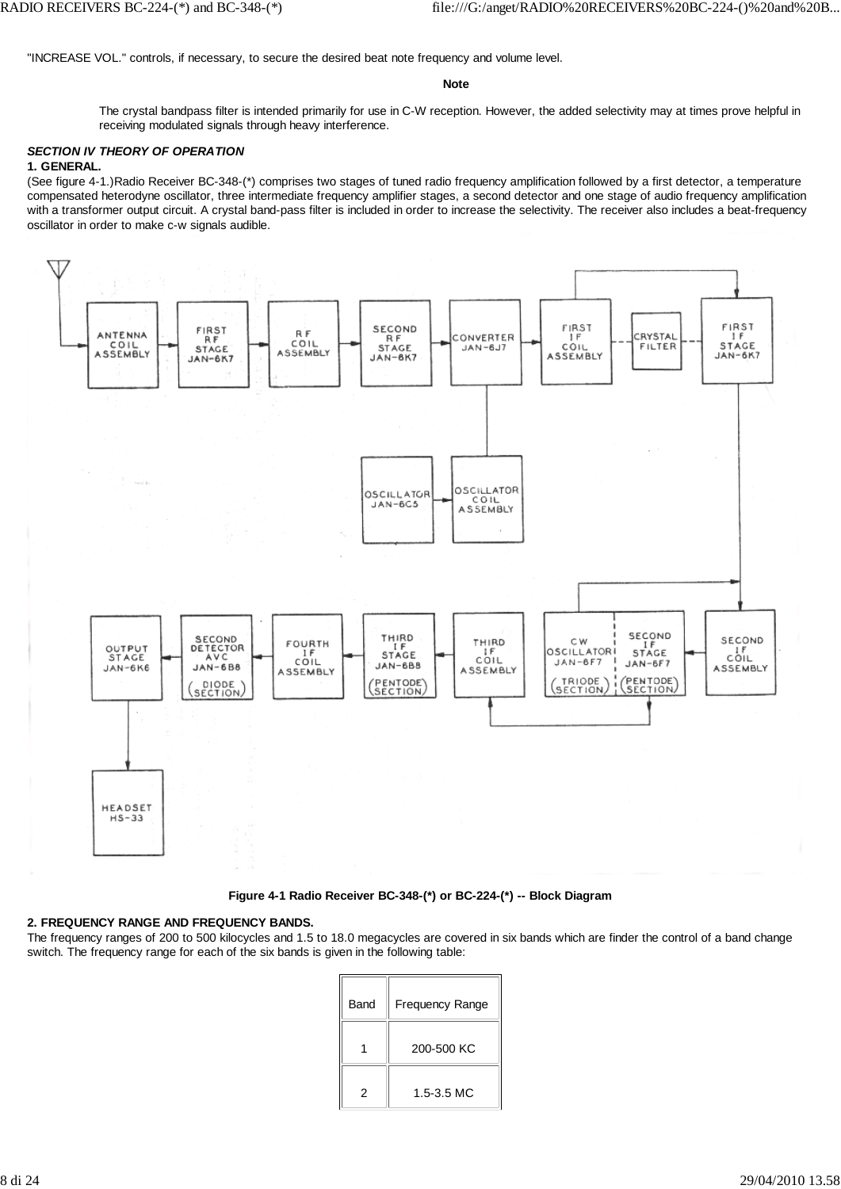"INCREASE VOL." controls, if necessary, to secure the desired beat note frequency and volume level.

#### **Note**

The crystal bandpass filter is intended primarily for use in C-W reception. However, the added selectivity may at times prove helpful in receiving modulated signals through heavy interference.

# *SECTION IV THEORY OF OPERATION*

## **1. GENERAL.**

(See figure 4-1.)Radio Receiver BC-348-(\*) comprises two stages of tuned radio frequency amplification followed by a first detector, a temperature compensated heterodyne oscillator, three intermediate frequency amplifier stages, a second detector and one stage of audio frequency amplification with a transformer output circuit. A crystal band-pass filter is included in order to increase the selectivity. The receiver also includes a beat-frequency oscillator in order to make c-w signals audible.



**Figure 4-1 Radio Receiver BC-348-(\*) or BC-224-(\*) -- Block Diagram**

#### **2. FREQUENCY RANGE AND FREQUENCY BANDS.**

The frequency ranges of 200 to 500 kilocycles and 1.5 to 18.0 megacycles are covered in six bands which are finder the control of a band change switch. The frequency range for each of the six bands is given in the following table:

| Band | <b>Frequency Range</b> |
|------|------------------------|
|      | 200-500 KC             |
| 2    | $1.5 - 3.5$ MC         |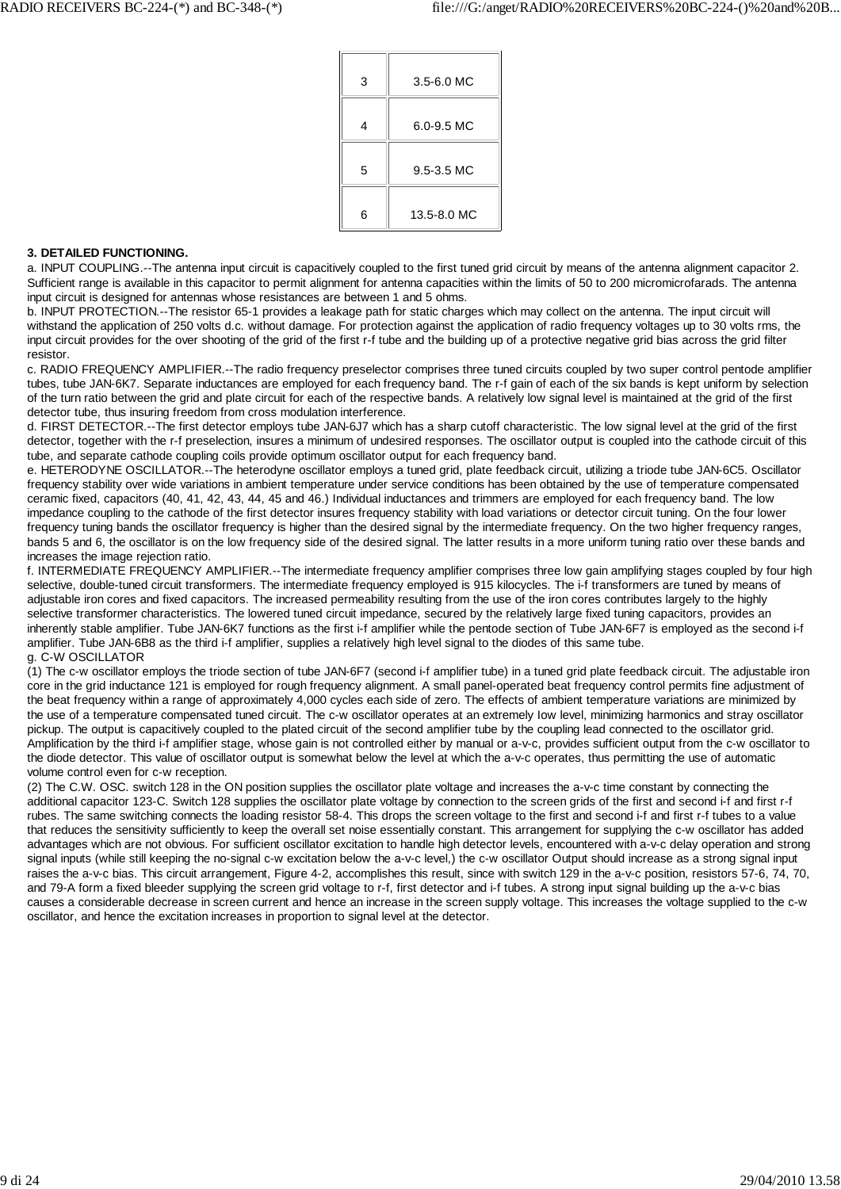| 3 | $3.5 - 6.0$ MC |
|---|----------------|
| 4 | $6.0 - 9.5$ MC |
| 5 | 9.5-3.5 MC     |
| 6 | 13.5-8.0 MC    |

#### **3. DETAILED FUNCTIONING.**

a. INPUT COUPLING.--The antenna input circuit is capacitively coupled to the first tuned grid circuit by means of the antenna alignment capacitor 2. Sufficient range is available in this capacitor to permit alignment for antenna capacities within the limits of 50 to 200 micromicrofarads. The antenna input circuit is designed for antennas whose resistances are between 1 and 5 ohms.

b. INPUT PROTECTION.--The resistor 65-1 provides a leakage path for static charges which may collect on the antenna. The input circuit will withstand the application of 250 volts d.c. without damage. For protection against the application of radio frequency voltages up to 30 volts rms, the input circuit provides for the over shooting of the grid of the first r-f tube and the building up of a protective negative grid bias across the grid filter resistor.

c. RADIO FREQUENCY AMPLIFIER.--The radio frequency preselector comprises three tuned circuits coupled by two super control pentode amplifier tubes, tube JAN-6K7. Separate inductances are employed for each frequency band. The r-f gain of each of the six bands is kept uniform by selection of the turn ratio between the grid and plate circuit for each of the respective bands. A relatively low signal level is maintained at the grid of the first detector tube, thus insuring freedom from cross modulation interference.

d. FIRST DETECTOR.--The first detector employs tube JAN-6J7 which has a sharp cutoff characteristic. The low signal level at the grid of the first detector, together with the r-f preselection, insures a minimum of undesired responses. The oscillator output is coupled into the cathode circuit of this tube, and separate cathode coupling coils provide optimum oscillator output for each frequency band.

e. HETERODYNE OSCILLATOR.--The heterodyne oscillator employs a tuned grid, plate feedback circuit, utilizing a triode tube JAN-6C5. Oscillator frequency stability over wide variations in ambient temperature under service conditions has been obtained by the use of temperature compensated ceramic fixed, capacitors (40, 41, 42, 43, 44, 45 and 46.) Individual inductances and trimmers are employed for each frequency band. The low impedance coupling to the cathode of the first detector insures frequency stability with load variations or detector circuit tuning. On the four lower frequency tuning bands the oscillator frequency is higher than the desired signal by the intermediate frequency. On the two higher frequency ranges, bands 5 and 6, the oscillator is on the low frequency side of the desired signal. The latter results in a more uniform tuning ratio over these bands and increases the image rejection ratio.

f. INTERMEDIATE FREQUENCY AMPLIFIER.--The intermediate frequency amplifier comprises three low gain amplifying stages coupled by four high selective, double-tuned circuit transformers. The intermediate frequency employed is 915 kilocycles. The i-f transformers are tuned by means of adjustable iron cores and fixed capacitors. The increased permeability resulting from the use of the iron cores contributes largely to the highly selective transformer characteristics. The lowered tuned circuit impedance, secured by the relatively large fixed tuning capacitors, provides an inherently stable amplifier. Tube JAN-6K7 functions as the first i-f amplifier while the pentode section of Tube JAN-6F7 is employed as the second i-f amplifier. Tube JAN-6B8 as the third i-f amplifier, supplies a relatively high level signal to the diodes of this same tube. g. C-W OSCILLATOR

(1) The c-w oscillator employs the triode section of tube JAN-6F7 (second i-f amplifier tube) in a tuned grid plate feedback circuit. The adjustable iron core in the grid inductance 121 is employed for rough frequency alignment. A small panel-operated beat frequency control permits fine adjustment of the beat frequency within a range of approximately 4,000 cycles each side of zero. The effects of ambient temperature variations are minimized by the use of a temperature compensated tuned circuit. The c-w oscillator operates at an extremely Iow level, minimizing harmonics and stray oscillator pickup. The output is capacitively coupled to the plated circuit of the second amplifier tube by the coupling lead connected to the oscillator grid. Amplification by the third i-f amplifier stage, whose gain is not controlled either by manual or a-v-c, provides sufficient output from the c-w oscillator to the diode detector. This value of oscillator output is somewhat below the level at which the a-v-c operates, thus permitting the use of automatic volume control even for c-w reception.

(2) The C.W. OSC. switch 128 in the ON position supplies the oscillator plate voltage and increases the a-v-c time constant by connecting the additional capacitor 123-C. Switch 128 supplies the oscillator plate voltage by connection to the screen grids of the first and second i-f and first r-f rubes. The same switching connects the loading resistor 58-4. This drops the screen voltage to the first and second i-f and first r-f tubes to a value that reduces the sensitivity sufficiently to keep the overall set noise essentially constant. This arrangement for supplying the c-w oscillator has added advantages which are not obvious. For sufficient oscillator excitation to handle high detector levels, encountered with a-v-c delay operation and strong signal inputs (while still keeping the no-signal c-w excitation below the a-v-c level.) the c-w oscillator Output should increase as a strong signal input raises the a-v-c bias. This circuit arrangement, Figure 4-2, accomplishes this result, since with switch 129 in the a-v-c position, resistors 57-6, 74, 70, and 79-A form a fixed bleeder supplying the screen grid voltage to r-f, first detector and i-f tubes. A strong input signal building up the a-v-c bias causes a considerable decrease in screen current and hence an increase in the screen supply voltage. This increases the voltage supplied to the c-w oscillator, and hence the excitation increases in proportion to signal level at the detector.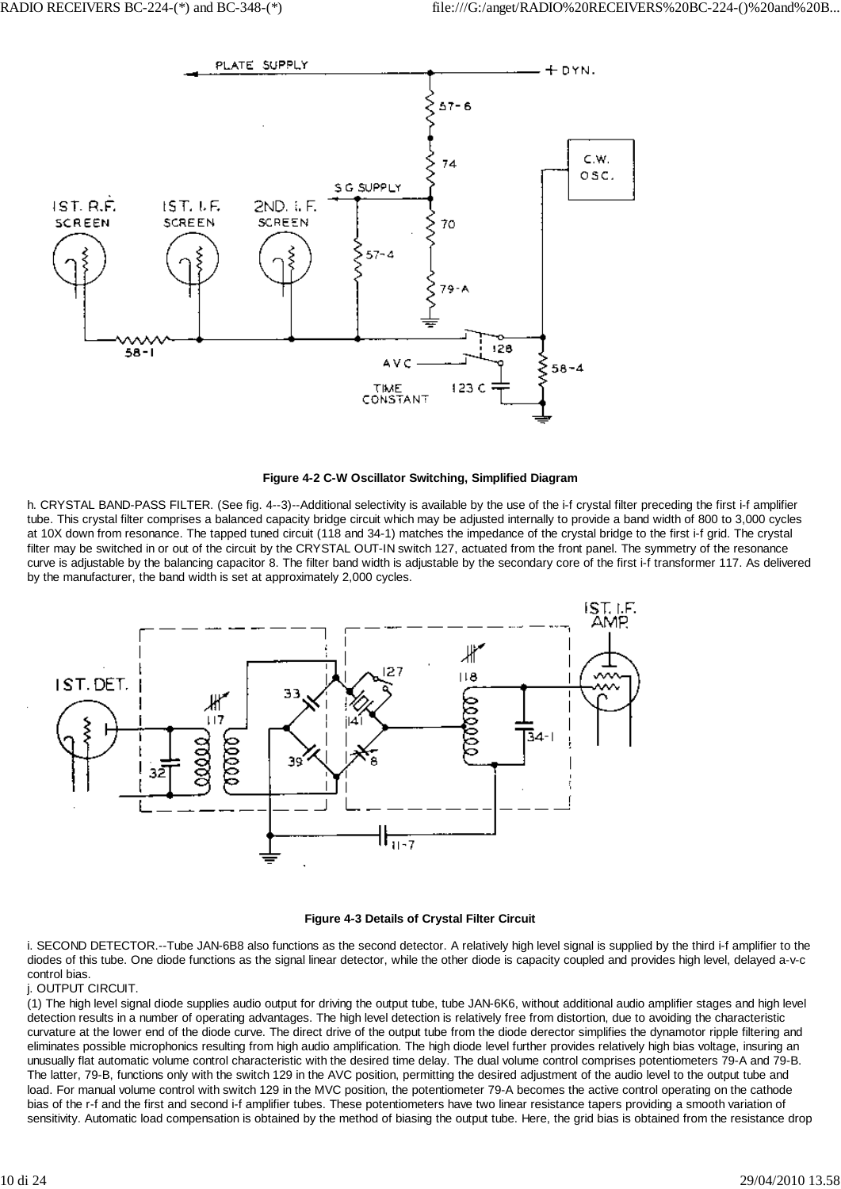



h. CRYSTAL BAND-PASS FILTER. (See fig. 4--3)--Additional selectivity is available by the use of the i-f crystal filter preceding the first i-f amplifier tube. This crystal filter comprises a balanced capacity bridge circuit which may be adjusted internally to provide a band width of 800 to 3,000 cycles at 10X down from resonance. The tapped tuned circuit (118 and 34-1) matches the impedance of the crystal bridge to the first i-f grid. The crystal filter may be switched in or out of the circuit by the CRYSTAL OUT-IN switch 127, actuated from the front panel. The symmetry of the resonance curve is adjustable by the balancing capacitor 8. The filter band width is adjustable by the secondary core of the first i-f transformer 117. As delivered by the manufacturer, the band width is set at approximately 2,000 cycles.





i. SECOND DETECTOR.--Tube JAN-6B8 also functions as the second detector. A relatively high level signal is supplied by the third i-f amplifier to the diodes of this tube. One diode functions as the signal linear detector, while the other diode is capacity coupled and provides high level, delayed a-v-c control bias.

j. OUTPUT CIRCUIT.

(1) The high level signal diode supplies audio output for driving the output tube, tube JAN-6K6, without additional audio amplifier stages and high level detection results in a number of operating advantages. The high level detection is relatively free from distortion, due to avoiding the characteristic curvature at the lower end of the diode curve. The direct drive of the output tube from the diode derector simplifies the dynamotor ripple filtering and eliminates possible microphonics resulting from high audio amplification. The high diode level further provides relatively high bias voltage, insuring an unusually flat automatic volume control characteristic with the desired time delay. The dual volume control comprises potentiometers 79-A and 79-B. The latter, 79-B, functions only with the switch 129 in the AVC position, permitting the desired adjustment of the audio level to the output tube and load. For manual volume control with switch 129 in the MVC position, the potentiometer 79-A becomes the active control operating on the cathode bias of the r-f and the first and second i-f amplifier tubes. These potentiometers have two linear resistance tapers providing a smooth variation of sensitivity. Automatic load compensation is obtained by the method of biasing the output tube. Here, the grid bias is obtained from the resistance drop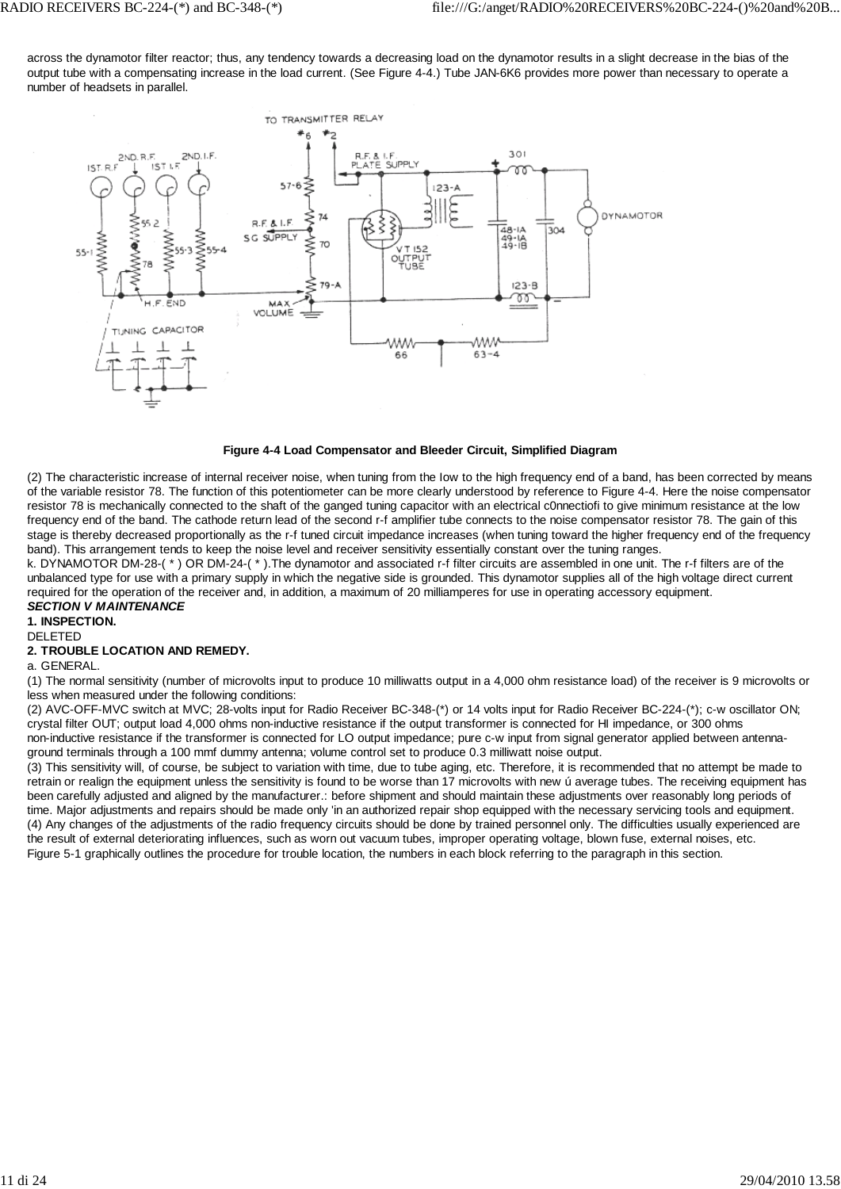across the dynamotor filter reactor; thus, any tendency towards a decreasing load on the dynamotor results in a slight decrease in the bias of the output tube with a compensating increase in the load current. (See Figure 4-4.) Tube JAN-6K6 provides more power than necessary to operate a number of headsets in parallel.



#### **Figure 4-4 Load Compensator and Bleeder Circuit, Simplified Diagram**

(2) The characteristic increase of internal receiver noise, when tuning from the Iow to the high frequency end of a band, has been corrected by means of the variable resistor 78. The function of this potentiometer can be more clearly understood by reference to Figure 4-4. Here the noise compensator resistor 78 is mechanically connected to the shaft of the ganged tuning capacitor with an electrical c0nnectiofi to give minimum resistance at the low frequency end of the band. The cathode return lead of the second r-f amplifier tube connects to the noise compensator resistor 78. The gain of this stage is thereby decreased proportionally as the r-f tuned circuit impedance increases (when tuning toward the higher frequency end of the frequency band). This arrangement tends to keep the noise level and receiver sensitivity essentially constant over the tuning ranges.

k. DYNAMOTOR DM-28-( \* ) OR DM-24-( \* ).The dynamotor and associated r-f filter circuits are assembled in one unit. The r-f filters are of the unbalanced type for use with a primary supply in which the negative side is grounded. This dynamotor supplies all of the high voltage direct current required for the operation of the receiver and, in addition, a maximum of 20 milliamperes for use in operating accessory equipment. *SECTION V MAINTENANCE*

# **1. INSPECTION.**

DELETED

## **2. TROUBLE LOCATION AND REMEDY.**

#### a. GENERAL.

(1) The normal sensitivity (number of microvolts input to produce 10 milliwatts output in a 4,000 ohm resistance load) of the receiver is 9 microvolts or less when measured under the following conditions:

(2) AVC-OFF-MVC switch at MVC; 28-volts input for Radio Receiver BC-348-(\*) or 14 volts input for Radio Receiver BC-224-(\*); c-w oscillator ON; crystal filter OUT; output load 4,000 ohms non-inductive resistance if the output transformer is connected for HI impedance, or 300 ohms non-inductive resistance if the transformer is connected for LO output impedance; pure c-w input from signal generator applied between antennaground terminals through a 100 mmf dummy antenna; volume control set to produce 0.3 milliwatt noise output.

(3) This sensitivity will, of course, be subject to variation with time, due to tube aging, etc. Therefore, it is recommended that no attempt be made to retrain or realign the equipment unless the sensitivity is found to be worse than 17 microvolts with new ú average tubes. The receiving equipment has been carefully adjusted and aligned by the manufacturer.: before shipment and should maintain these adjustments over reasonably long periods of time. Major adjustments and repairs should be made only 'in an authorized repair shop equipped with the necessary servicing tools and equipment. (4) Any changes of the adjustments of the radio frequency circuits should be done by trained personnel only. The difficulties usually experienced are the result of external deteriorating influences, such as worn out vacuum tubes, improper operating voltage, blown fuse, external noises, etc. Figure 5-1 graphically outlines the procedure for trouble location, the numbers in each block referring to the paragraph in this section.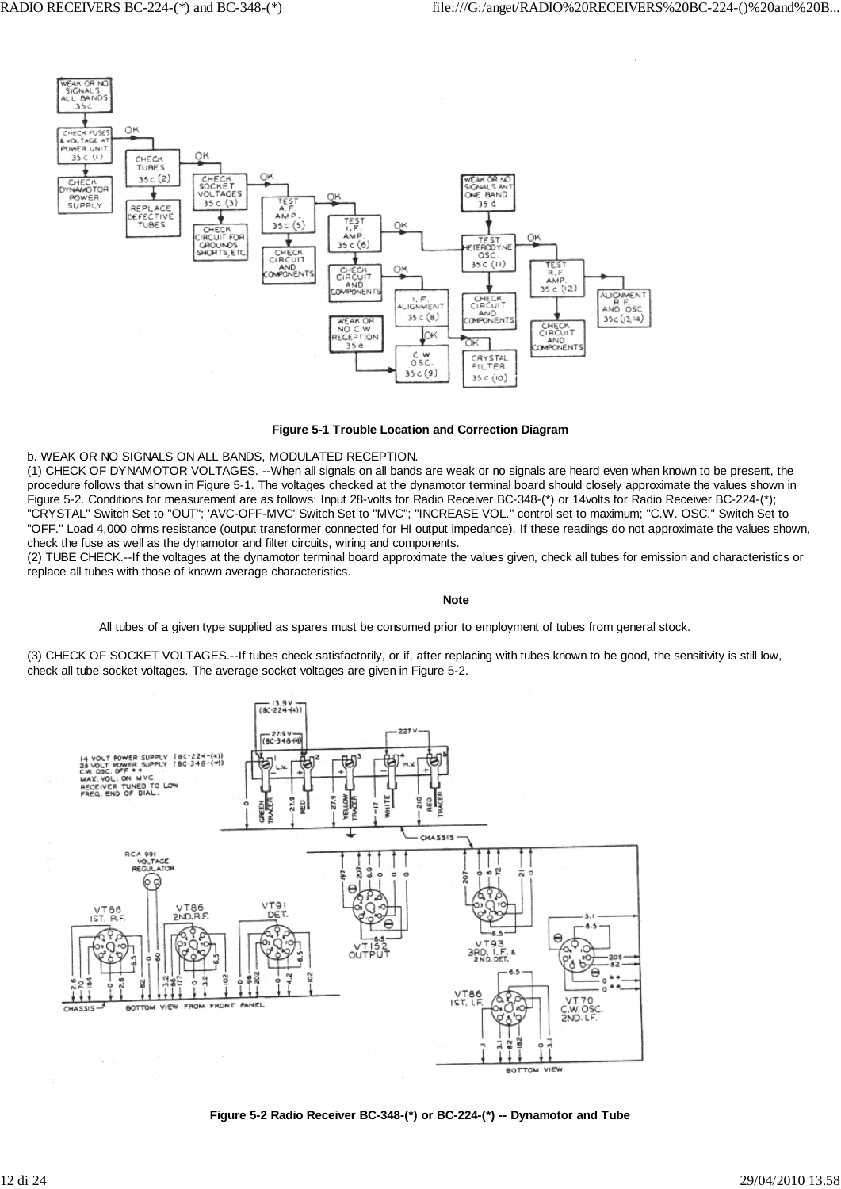

#### **Figure 5-1 Trouble Location and Correction Diagram**

#### b. WEAK OR NO SIGNALS ON ALL BANDS, MODULATED RECEPTION.

(1) CHECK OF DYNAMOTOR VOLTAGES. --When all signals on all bands are weak or no signals are heard even when known to be present, the procedure follows that shown in Figure 5-1. The voltages checked at the dynamotor terminal board should closely approximate the values shown in Figure 5-2. Conditions for measurement are as follows: Input 28-volts for Radio Receiver BC-348-(\*) or 14volts for Radio Receiver BC-224-(\*); "CRYSTAL" Switch Set to "OUT"; 'AVC-OFF-MVC' Switch Set to "MVC"; "INCREASE VOL." control set to maximum; "C.W. OSC." Switch Set to "OFF." Load 4,000 ohms resistance (output transformer connected for HI output impedance). If these readings do not approximate the values shown, check the fuse as well as the dynamotor and filter circuits, wiring and components.

(2) TUBE CHECK.--If the voltages at the dynamotor terminal board approximate the values given, check all tubes for emission and characteristics or replace all tubes with those of known average characteristics.

#### **Note**

All tubes of a given type supplied as spares must be consumed prior to employment of tubes from general stock.

(3) CHECK OF SOCKET VOLTAGES.--If tubes check satisfactorily, or if, after replacing with tubes known to be good, the sensitivity is still low, check all tube socket voltages. The average socket voltages are given in Figure 5-2.



**Figure 5-2 Radio Receiver BC-348-(\*) or BC-224-(\*) -- Dynamotor and Tube**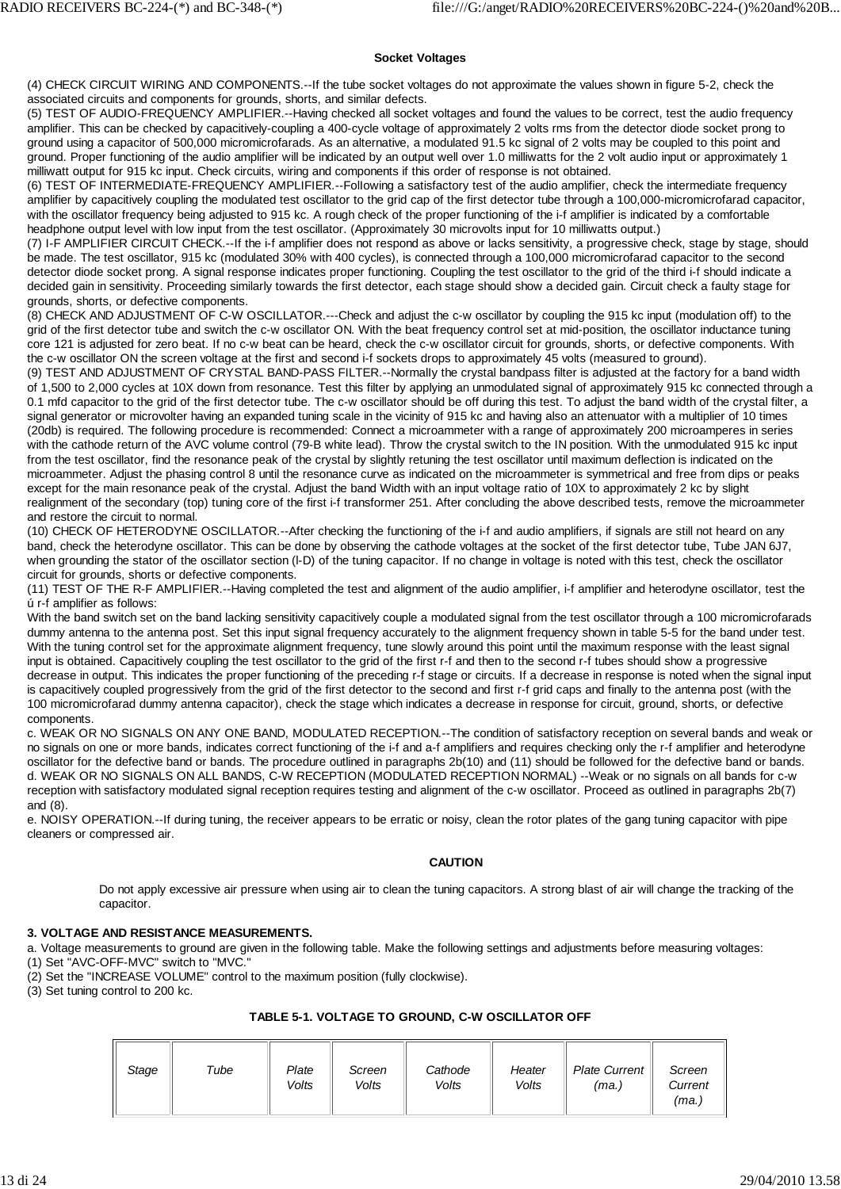#### **Socket Voltages**

(4) CHECK CIRCUIT WIRING AND COMPONENTS.--If the tube socket voltages do not approximate the values shown in figure 5-2, check the associated circuits and components for grounds, shorts, and similar defects.

(5) TEST OF AUDIO-FREQUENCY AMPLIFIER.--Having checked all socket voltages and found the values to be correct, test the audio frequency amplifier. This can be checked by capacitively-coupling a 400-cycle voltage of approximately 2 volts rms from the detector diode socket prong to ground using a capacitor of 500,000 micromicrofarads. As an alternative, a modulated 91.5 kc signal of 2 volts may be coupled to this point and ground. Proper functioning of the audio amplifier will be indicated by an output well over 1.0 milliwatts for the 2 volt audio input or approximately 1 milliwatt output for 915 kc input. Check circuits, wiring and components if this order of response is not obtained.

(6) TEST OF INTERMEDIATE-FREQUENCY AMPLIFIER.--FolIowing a satisfactory test of the audio amplifier, check the intermediate frequency amplifier by capacitively coupling the modulated test oscillator to the grid cap of the first detector tube through a 100,000-micromicrofarad capacitor, with the oscillator frequency being adjusted to 915 kc. A rough check of the proper functioning of the i-f amplifier is indicated by a comfortable headphone output level with low input from the test oscillator. (Approximately 30 microvolts input for 10 milliwatts output.)

(7) I-F AMPLIFIER CIRCUIT CHECK.--If the i-f amplifier does not respond as above or lacks sensitivity, a progressive check, stage by stage, should be made. The test oscillator, 915 kc (modulated 30% with 400 cycles), is connected through a 100,000 micromicrofarad capacitor to the second detector diode socket prong. A signal response indicates proper functioning. Coupling the test oscillator to the grid of the third i-f should indicate a decided gain in sensitivity. Proceeding similarly towards the first detector, each stage should show a decided gain. Circuit check a faulty stage for grounds, shorts, or defective components.

(8) CHECK AND ADJUSTMENT OF C-W OSCILLATOR.---Check and adjust the c-w oscillator by coupling the 915 kc input (modulation off) to the grid of the first detector tube and switch the c-w oscillator ON. With the beat frequency control set at mid-position, the oscillator inductance tuning core 121 is adjusted for zero beat. If no c-w beat can be heard, check the c-w oscillator circuit for grounds, shorts, or defective components. With the c-w oscillator ON the screen voltage at the first and second i-f sockets drops to approximately 45 volts (measured to ground).

(9) TEST AND ADJUSTMENT OF CRYSTAL BAND-PASS FILTER.--NormalIy the crystal bandpass filter is adjusted at the factory for a band width of 1,500 to 2,000 cycles at 10X down from resonance. Test this filter by applying an unmodulated signal of approximately 915 kc connected through a 0.1 mfd capacitor to the grid of the first detector tube. The c-w oscillator should be off during this test. To adjust the band width of the crystal filter, a signal generator or microvolter having an expanded tuning scale in the vicinity of 915 kc and having also an attenuator with a multiplier of 10 times (20db) is required. The following procedure is recommended: Connect a microammeter with a range of approximately 200 microamperes in series with the cathode return of the AVC volume control (79-B white lead). Throw the crystal switch to the IN position. With the unmodulated 915 kc input from the test oscillator, find the resonance peak of the crystal by slightly retuning the test oscillator until maximum deflection is indicated on the microammeter. Adjust the phasing control 8 until the resonance curve as indicated on the microammeter is symmetrical and free from dips or peaks except for the main resonance peak of the crystal. Adjust the band Width with an input voltage ratio of 10X to approximately 2 kc by slight realignment of the secondary (top) tuning core of the first i-f transformer 251. After concluding the above described tests, remove the microammeter and restore the circuit to normal.

(10) CHECK OF HETERODYNE OSCILLATOR.--After checking the functioning of the i-f and audio amplifiers, if signals are still not heard on any band, check the heterodyne oscillator. This can be done by observing the cathode voltages at the socket of the first detector tube, Tube JAN 6J7, when grounding the stator of the oscillator section (l-D) of the tuning capacitor. If no change in voltage is noted with this test, check the oscillator circuit for grounds, shorts or defective components.

(11) TEST OF THE R-F AMPLIFIER.--Having completed the test and alignment of the audio amplifier, i-f amplifier and heterodyne oscillator, test the ú r-f amplifier as follows:

With the band switch set on the band lacking sensitivity capacitively couple a modulated signal from the test oscillator through a 100 micromicrofarads dummy antenna to the antenna post. Set this input signal frequency accurately to the alignment frequency shown in table 5-5 for the band under test. With the tuning control set for the approximate alignment frequency, tune slowly around this point until the maximum response with the least signal input is obtained. Capacitively coupling the test oscillator to the grid of the first r-f and then to the second r-f tubes should show a progressive decrease in output. This indicates the proper functioning of the preceding r-f stage or circuits. If a decrease in response is noted when the signal input is capacitively coupled progressively from the grid of the first detector to the second and first r-f grid caps and finally to the antenna post (with the 100 micromicrofarad dummy antenna capacitor), check the stage which indicates a decrease in response for circuit, ground, shorts, or defective components.

c. WEAK OR NO SIGNALS ON ANY ONE BAND, MODULATED RECEPTION.--The condition of satisfactory reception on several bands and weak or no signals on one or more bands, indicates correct functioning of the i-f and a-f amplifiers and requires checking only the r-f amplifier and heterodyne oscillator for the defective band or bands. The procedure outlined in paragraphs 2b(10) and (11) should be followed for the defective band or bands. d. WEAK OR NO SIGNALS ON ALL BANDS, C-W RECEPTION (MODULATED RECEPTION NORMAL) --Weak or no signals on all bands for c-w reception with satisfactory modulated signal reception requires testing and alignment of the c-w oscillator. Proceed as outlined in paragraphs 2b(7) and (8).

e. NOISY OPERATION.--If during tuning, the receiver appears to be erratic or noisy, clean the rotor plates of the gang tuning capacitor with pipe cleaners or compressed air.

## **CAUTION**

Do not apply excessive air pressure when using air to clean the tuning capacitors. A strong blast of air will change the tracking of the capacitor.

## **3. VOLTAGE AND RESISTANCE MEASUREMENTS.**

a. Voltage measurements to ground are given in the following table. Make the following settings and adjustments before measuring voltages:

(1) Set "AVC-OFF-MVC" switch to "MVC."

(2) Set the "INCREASE VOLUME" control to the maximum position (fully clockwise).

(3) Set tuning control to 200 kc.

## **TABLE 5-1. VOLTAGE TO GROUND, C-W OSCILLATOR OFF**

| Stage | Tube | Plate<br>Volts | Screen<br>Volts | Cathode<br>Volts | Heater<br>Volts | <b>Plate Current</b><br>(ma.) | Screen<br>Current<br>(ma.) |
|-------|------|----------------|-----------------|------------------|-----------------|-------------------------------|----------------------------|
|-------|------|----------------|-----------------|------------------|-----------------|-------------------------------|----------------------------|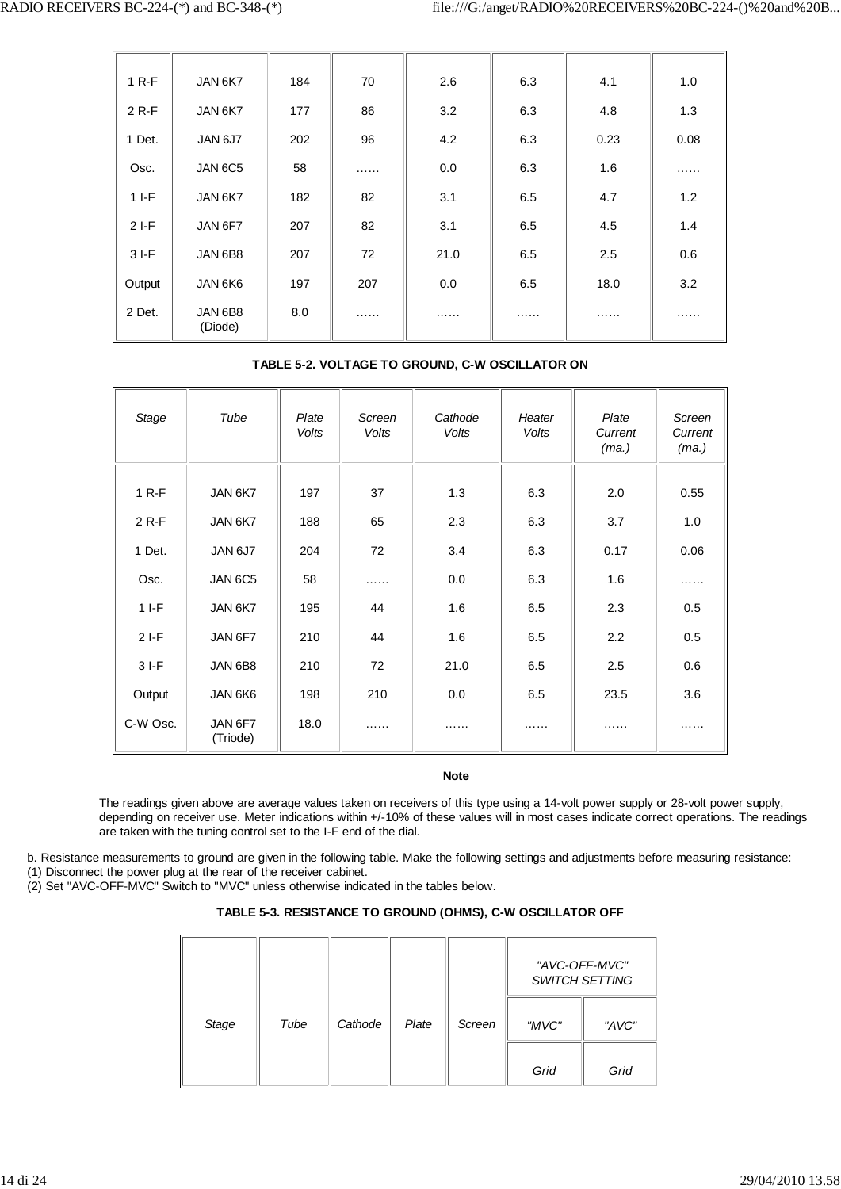| $1 R-F$ | JAN 6K7            | 184 | 70  | 2.6  | 6.3 | 4.1  | 1.0  |
|---------|--------------------|-----|-----|------|-----|------|------|
| $2 R-F$ | JAN 6K7            | 177 | 86  | 3.2  | 6.3 | 4.8  | 1.3  |
| 1 Det.  | JAN 6J7            | 202 | 96  | 4.2  | 6.3 | 0.23 | 0.08 |
| Osc.    | JAN 6C5            | 58  | .   | 0.0  | 6.3 | 1.6  | .    |
| $1 I-F$ | JAN 6K7            | 182 | 82  | 3.1  | 6.5 | 4.7  | 1.2  |
| $2I-F$  | JAN 6F7            | 207 | 82  | 3.1  | 6.5 | 4.5  | 1.4  |
| $3I-F$  | JAN 6B8            | 207 | 72  | 21.0 | 6.5 | 2.5  | 0.6  |
| Output  | JAN 6K6            | 197 | 207 | 0.0  | 6.5 | 18.0 | 3.2  |
| 2 Det.  | JAN 6B8<br>(Diode) | 8.0 | .   | .    | .   | .    | .    |

# **TABLE 5-2. VOLTAGE TO GROUND, C-W OSCILLATOR ON**

| Stage    | Tube                | Plate<br>Volts | Screen<br>Volts | Cathode<br>Volts | Heater<br>Volts | Plate<br>Current<br>(ma.) | Screen<br>Current<br>(ma.) |
|----------|---------------------|----------------|-----------------|------------------|-----------------|---------------------------|----------------------------|
| $1 R-F$  | JAN 6K7             | 197            | 37              | 1.3              | 6.3             | 2.0                       | 0.55                       |
| 2 R-F    | JAN 6K7             | 188            | 65              | 2.3              | 6.3             | 3.7                       | 1.0                        |
| 1 Det.   | JAN 6J7             | 204            | 72              | 3.4              | 6.3             | 0.17                      | 0.06                       |
| Osc.     | JAN 6C5             | 58             | .               | 0.0              | 6.3             | 1.6                       | .                          |
| $11-F$   | JAN 6K7             | 195            | 44              | 1.6              | 6.5             | 2.3                       | 0.5                        |
| $2I-F$   | JAN 6F7             | 210            | 44              | 1.6              | 6.5             | 2.2                       | 0.5                        |
| $3I-F$   | JAN 6B8             | 210            | 72              | 21.0             | 6.5             | 2.5                       | 0.6                        |
| Output   | JAN 6K6             | 198            | 210             | 0.0              | 6.5             | 23.5                      | 3.6                        |
| C-W Osc. | JAN 6F7<br>(Triode) | 18.0           | .               | .                | .               | .                         | .                          |

#### **Note**

The readings given above are average values taken on receivers of this type using a 14-volt power supply or 28-volt power supply, depending on receiver use. Meter indications within +/-10% of these values will in most cases indicate correct operations. The readings are taken with the tuning control set to the I-F end of the dial.

b. Resistance measurements to ground are given in the following table. Make the following settings and adjustments before measuring resistance:

(1) Disconnect the power plug at the rear of the receiver cabinet.

(2) Set "AVC-OFF-MVC" Switch to "MVC" unless otherwise indicated in the tables below.

## **TABLE 5-3. RESISTANCE TO GROUND (OHMS), C-W OSCILLATOR OFF**

|       |      |         |       |        | "AVC-OFF-MVC"<br><b>SWITCH SETTING</b> |       |
|-------|------|---------|-------|--------|----------------------------------------|-------|
| Stage | Tube | Cathode | Plate | Screen | "MVC"                                  | "AVC" |
|       |      |         |       |        | Grid                                   | Grid  |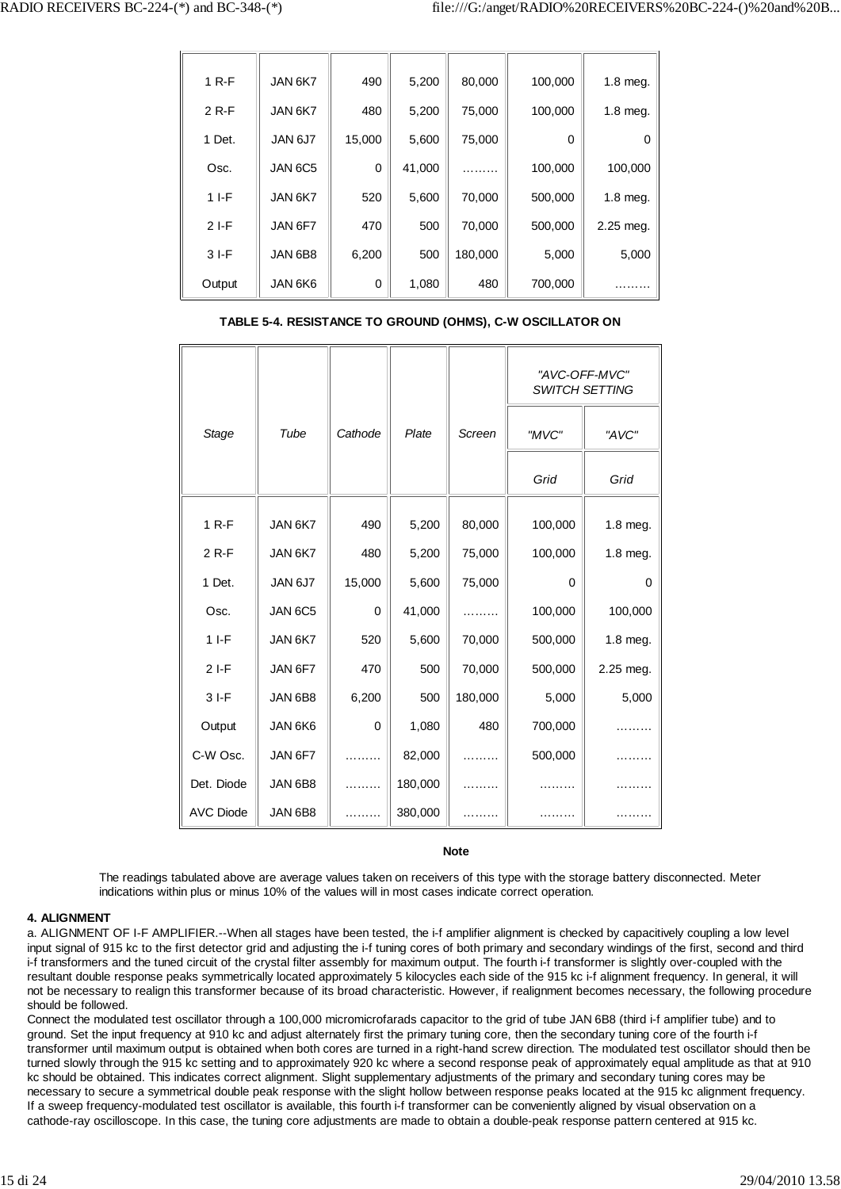| $1 R-F$ | JAN 6K7 | 490    | 5,200  | 80,000  | 100,000  | 1.8 meg.  |
|---------|---------|--------|--------|---------|----------|-----------|
| $2 R-F$ | JAN 6K7 | 480    | 5,200  | 75,000  | 100,000  | 1.8 meg.  |
| 1 Det.  | JAN 6J7 | 15,000 | 5,600  | 75,000  | $\Omega$ | $\Omega$  |
| Osc.    | JAN 6C5 | 0      | 41,000 | .       | 100,000  | 100,000   |
| $1 I-F$ | JAN 6K7 | 520    | 5,600  | 70,000  | 500,000  | 1.8 meg.  |
| $2I-F$  | JAN 6F7 | 470    | 500    | 70,000  | 500,000  | 2.25 meg. |
| $3$ I-F | JAN 6B8 | 6,200  | 500    | 180,000 | 5,000    | 5,000     |
| Output  | JAN 6K6 | 0      | 1,080  | 480     | 700,000  |           |

|                  |         |         |         |         | "AVC-OFF-MVC"<br><b>SWITCH SETTING</b> |            |
|------------------|---------|---------|---------|---------|----------------------------------------|------------|
| <b>Stage</b>     | Tube    | Cathode | Plate   | Screen  | "MVC"                                  | "AVC"      |
|                  |         |         |         |         | Grid                                   | Grid       |
|                  |         |         |         |         |                                        |            |
| $1 R-F$          | JAN 6K7 | 490     | 5,200   | 80,000  | 100,000                                | 1.8 meg.   |
| 2 R-F            | JAN 6K7 | 480     | 5,200   | 75,000  | 100,000                                | $1.8$ meg. |
| 1 Det.           | JAN 6J7 | 15,000  | 5,600   | 75,000  | 0                                      | 0          |
| Osc.             | JAN 6C5 | 0       | 41,000  | .       | 100,000                                | 100,000    |
| $1 I-F$          | JAN 6K7 | 520     | 5,600   | 70,000  | 500,000                                | 1.8 meg.   |
| $2 I-F$          | JAN 6F7 | 470     | 500     | 70,000  | 500,000                                | 2.25 meg.  |
| $3I-F$           | JAN 6B8 | 6,200   | 500     | 180,000 | 5,000                                  | 5,000      |
| Output           | JAN 6K6 | 0       | 1,080   | 480     | 700,000                                |            |
| C-W Osc.         | JAN 6F7 | .       | 82,000  | .       | 500,000                                |            |
| Det. Diode       | JAN 6B8 | .       | 180,000 |         | .                                      |            |
| <b>AVC Diode</b> | JAN 6B8 |         | 380,000 |         |                                        |            |

**TABLE 5-4. RESISTANCE TO GROUND (OHMS), C-W OSCILLATOR ON**

**Note**

The readings tabulated above are average values taken on receivers of this type with the storage battery disconnected. Meter indications within plus or minus 10% of the values will in most cases indicate correct operation.

#### **4. ALIGNMENT**

a. ALIGNMENT OF I-F AMPLIFIER.--When all stages have been tested, the i-f amplifier alignment is checked by capacitively coupling a low level input signal of 915 kc to the first detector grid and adjusting the i-f tuning cores of both primary and secondary windings of the first, second and third i-f transformers and the tuned circuit of the crystal filter assembly for maximum output. The fourth i-f transformer is slightly over-coupled with the resultant double response peaks symmetrically located approximately 5 kilocycles each side of the 915 kc i-f alignment frequency. In general, it will not be necessary to realign this transformer because of its broad characteristic. However, if realignment becomes necessary, the following procedure should be followed.

Connect the modulated test oscillator through a 100,000 micromicrofarads capacitor to the grid of tube JAN 6B8 (third i-f amplifier tube) and to ground. Set the input frequency at 910 kc and adjust alternately first the primary tuning core, then the secondary tuning core of the fourth i-f transformer until maximum output is obtained when both cores are turned in a right-hand screw direction. The modulated test oscillator should then be turned slowly through the 915 kc setting and to approximately 920 kc where a second response peak of approximately equal amplitude as that at 910 kc should be obtained. This indicates correct alignment. Slight supplementary adjustments of the primary and secondary tuning cores may be necessary to secure a symmetrical double peak response with the slight hollow between response peaks located at the 915 kc alignment frequency. If a sweep frequency-modulated test oscillator is available, this fourth i-f transformer can be conveniently aligned by visual observation on a cathode-ray oscilloscope. In this case, the tuning core adjustments are made to obtain a double-peak response pattern centered at 915 kc.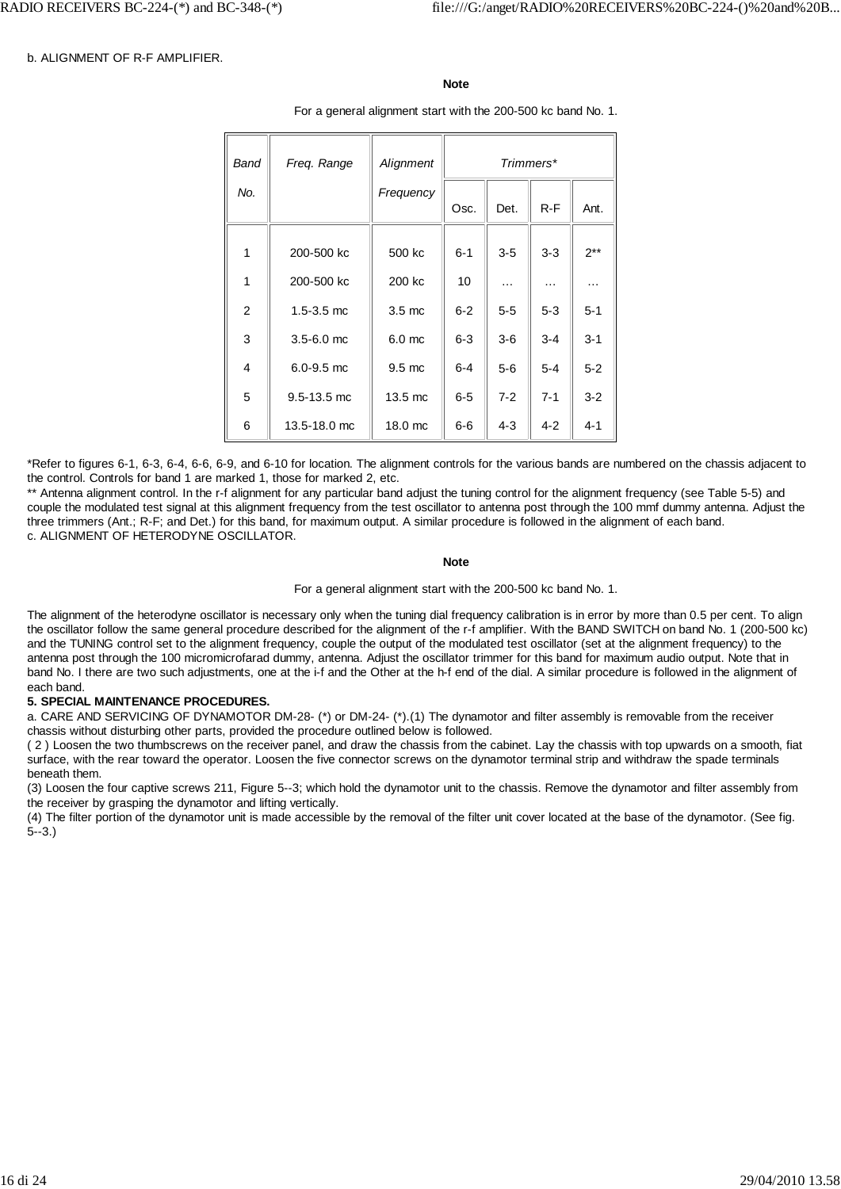#### b. ALIGNMENT OF R-F AMPLIFIER.

#### **Note**

For a general alignment start with the 200-500 kc band No. 1.

| Band | Freq. Range     | Alignment        | Trimmers* |          |         |          |
|------|-----------------|------------------|-----------|----------|---------|----------|
| No.  |                 | Frequency        | Osc.      | Det.     | $R-F$   | Ant.     |
|      |                 |                  |           |          |         |          |
| 1    | 200-500 kc      | 500 kc           | $6 - 1$   | $3 - 5$  | $3 - 3$ | $2***$   |
| 1    | 200-500 kc      | 200 kc           | 10        | $\cdots$ | $\cdot$ | $\cdots$ |
| 2    | $1.5 - 3.5$ mc  | $3.5 \text{ mc}$ | $6 - 2$   | $5-5$    | $5 - 3$ | $5 - 1$  |
| 3    | $3.5 - 6.0$ mc  | $6.0$ mc         | $6-3$     | $3-6$    | $3 - 4$ | $3 - 1$  |
| 4    | $6.0 - 9.5$ mc  | $9.5 \text{ mc}$ | $6 - 4$   | $5-6$    | $5 - 4$ | $5 - 2$  |
| 5    | $9.5 - 13.5$ mc | 13.5 mc          | $6-5$     | $7 - 2$  | $7 - 1$ | $3 - 2$  |
| 6    | 13.5-18.0 mc    | 18.0 mc          | $6-6$     | $4 - 3$  | $4 - 2$ | $4 - 1$  |

\*Refer to figures 6-1, 6-3, 6-4, 6-6, 6-9, and 6-10 for location. The alignment controls for the various bands are numbered on the chassis adjacent to the control. Controls for band 1 are marked 1, those for marked 2, etc.

\*\* Antenna alignment control. In the r-f alignment for any particular band adjust the tuning control for the alignment frequency (see Table 5-5) and couple the modulated test signal at this alignment frequency from the test oscillator to antenna post through the 100 mmf dummy antenna. Adjust the three trimmers (Ant.; R-F; and Det.) for this band, for maximum output. A similar procedure is followed in the alignment of each band. c. ALIGNMENT OF HETERODYNE OSCILLATOR.

#### **Note**

For a general alignment start with the 200-500 kc band No. 1.

The alignment of the heterodyne oscillator is necessary only when the tuning dial frequency calibration is in error by more than 0.5 per cent. To align the oscillator follow the same general procedure described for the alignment of the r-f amplifier. With the BAND SWITCH on band No. 1 (200-500 kc) and the TUNING control set to the alignment frequency, couple the output of the modulated test oscillator (set at the alignment frequency) to the antenna post through the 100 micromicrofarad dummy, antenna. Adjust the oscillator trimmer for this band for maximum audio output. Note that in band No. I there are two such adjustments, one at the i-f and the Other at the h-f end of the dial. A similar procedure is followed in the alignment of each band.

#### **5. SPECIAL MAINTENANCE PROCEDURES.**

a. CARE AND SERVICING OF DYNAMOTOR DM-28- (\*) or DM-24- (\*).(1) The dynamotor and filter assembly is removable from the receiver chassis without disturbing other parts, provided the procedure outlined below is followed.

( 2 ) Loosen the two thumbscrews on the receiver panel, and draw the chassis from the cabinet. Lay the chassis with top upwards on a smooth, fiat surface, with the rear toward the operator. Loosen the five connector screws on the dynamotor terminal strip and withdraw the spade terminals beneath them.

(3) Loosen the four captive screws 211, Figure 5--3; which hold the dynamotor unit to the chassis. Remove the dynamotor and filter assembly from the receiver by grasping the dynamotor and lifting vertically.

(4) The filter portion of the dynamotor unit is made accessible by the removal of the filter unit cover located at the base of the dynamotor. (See fig. 5--3.)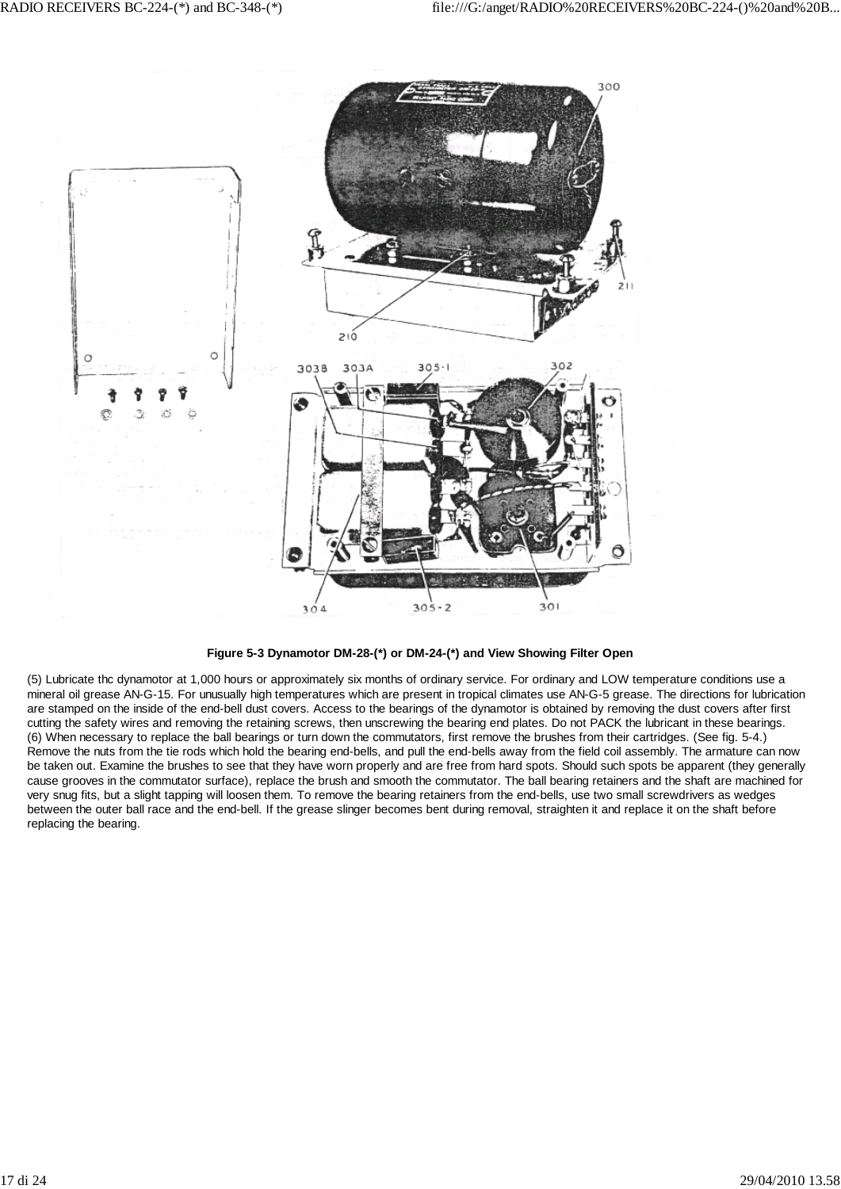

**Figure 5-3 Dynamotor DM-28-(\*) or DM-24-(\*) and View Showing Filter Open**

(5) Lubricate thc dynamotor at 1,000 hours or approximately six months of ordinary service. For ordinary and LOW temperature conditions use a mineral oil grease AN-G-15. For unusually high temperatures which are present in tropical climates use AN-G-5 grease. The directions for lubrication are stamped on the inside of the end-bell dust covers. Access to the bearings of the dynamotor is obtained by removing the dust covers after first cutting the safety wires and removing the retaining screws, then unscrewing the bearing end plates. Do not PACK the lubricant in these bearings. (6) When necessary to replace the ball bearings or turn down the commutators, first remove the brushes from their cartridges. (See fig. 5-4.) Remove the nuts from the tie rods which hold the bearing end-bells, and pull the end-bells away from the field coil assembly. The armature can now be taken out. Examine the brushes to see that they have worn properly and are free from hard spots. Should such spots be apparent (they generally cause grooves in the commutator surface), replace the brush and smooth the commutator. The ball bearing retainers and the shaft are machined for very snug fits, but a slight tapping will loosen them. To remove the bearing retainers from the end-bells, use two small screwdrivers as wedges between the outer ball race and the end-bell. If the grease slinger becomes bent during removal, straighten it and replace it on the shaft before replacing the bearing.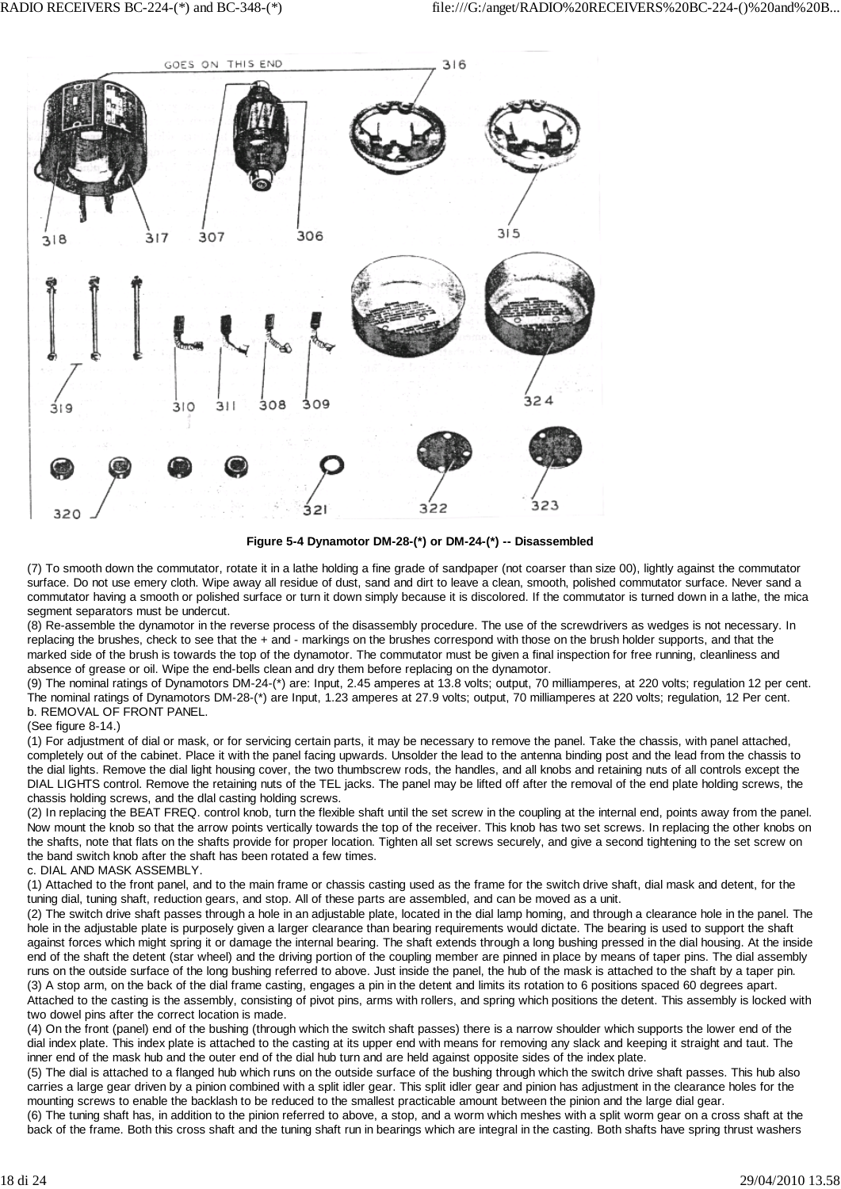

**Figure 5-4 Dynamotor DM-28-(\*) or DM-24-(\*) -- Disassembled**

(7) To smooth down the commutator, rotate it in a lathe holding a fine grade of sandpaper (not coarser than size 00), lightly against the commutator surface. Do not use emery cloth. Wipe away all residue of dust, sand and dirt to leave a clean, smooth, polished commutator surface. Never sand a commutator having a smooth or polished surface or turn it down simply because it is discolored. If the commutator is turned down in a lathe, the mica segment separators must be undercut.

(8) Re-assemble the dynamotor in the reverse process of the disassembly procedure. The use of the screwdrivers as wedges is not necessary. In replacing the brushes, check to see that the + and - markings on the brushes correspond with those on the brush holder supports, and that the marked side of the brush is towards the top of the dynamotor. The commutator must be given a final inspection for free running, cleanliness and absence of grease or oil. Wipe the end-bells clean and dry them before replacing on the dynamotor.

(9) The nominal ratings of Dynamotors DM-24-(\*) are: Input, 2.45 amperes at 13.8 volts; output, 70 milliamperes, at 220 volts; regulation 12 per cent. The nominal ratings of Dynamotors DM-28-(\*) are Input, 1.23 amperes at 27.9 volts; output, 70 milliamperes at 220 volts; regulation, 12 Per cent. b. REMOVAL OF FRONT PANEL.

#### (See figure 8-14.)

(1) For adjustment of dial or mask, or for servicing certain parts, it may be necessary to remove the panel. Take the chassis, with panel attached, completely out of the cabinet. Place it with the panel facing upwards. Unsolder the lead to the antenna binding post and the lead from the chassis to the dial lights. Remove the dial light housing cover, the two thumbscrew rods, the handles, and all knobs and retaining nuts of all controls except the DIAL LIGHTS control. Remove the retaining nuts of the TEL jacks. The panel may be lifted off after the removal of the end plate holding screws, the chassis holding screws, and the dlal casting holding screws.

(2) In replacing the BEAT FREQ. control knob, turn the flexible shaft until the set screw in the coupling at the internal end, points away from the panel. Now mount the knob so that the arrow points vertically towards the top of the receiver. This knob has two set screws. In replacing the other knobs on the shafts, note that flats on the shafts provide for proper location. Tighten all set screws securely, and give a second tightening to the set screw on the band switch knob after the shaft has been rotated a few times.

#### c. DIAL AND MASK ASSEMBLY.

(1) Attached to the front panel, and to the main frame or chassis casting used as the frame for the switch drive shaft, dial mask and detent, for the tuning dial, tuning shaft, reduction gears, and stop. All of these parts are assembled, and can be moved as a unit.

(2) The switch drive shaft passes through a hole in an adjustable plate, located in the dial lamp homing, and through a clearance hole in the panel. The hole in the adjustable plate is purposely given a larger clearance than bearing requirements would dictate. The bearing is used to support the shaft against forces which might spring it or damage the internal bearing. The shaft extends through a long bushing pressed in the dial housing. At the inside end of the shaft the detent (star wheel) and the driving portion of the coupling member are pinned in place by means of taper pins. The dial assembly runs on the outside surface of the long bushing referred to above. Just inside the panel, the hub of the mask is attached to the shaft by a taper pin. (3) A stop arm, on the back of the dial frame casting, engages a pin in the detent and limits its rotation to 6 positions spaced 60 degrees apart. Attached to the casting is the assembly, consisting of pivot pins, arms with rollers, and spring which positions the detent. This assembly is locked with two dowel pins after the correct location is made.

(4) On the front (panel) end of the bushing (through which the switch shaft passes) there is a narrow shoulder which supports the lower end of the dial index plate. This index plate is attached to the casting at its upper end with means for removing any slack and keeping it straight and taut. The inner end of the mask hub and the outer end of the dial hub turn and are held against opposite sides of the index plate.

(5) The dial is attached to a flanged hub which runs on the outside surface of the bushing through which the switch drive shaft passes. This hub also carries a large gear driven by a pinion combined with a split idler gear. This split idler gear and pinion has adjustment in the clearance holes for the mounting screws to enable the backlash to be reduced to the smallest practicable amount between the pinion and the large dial gear.

(6) The tuning shaft has, in addition to the pinion referred to above, a stop, and a worm which meshes with a split worm gear on a cross shaft at the back of the frame. Both this cross shaft and the tuning shaft run in bearings which are integral in the casting. Both shafts have spring thrust washers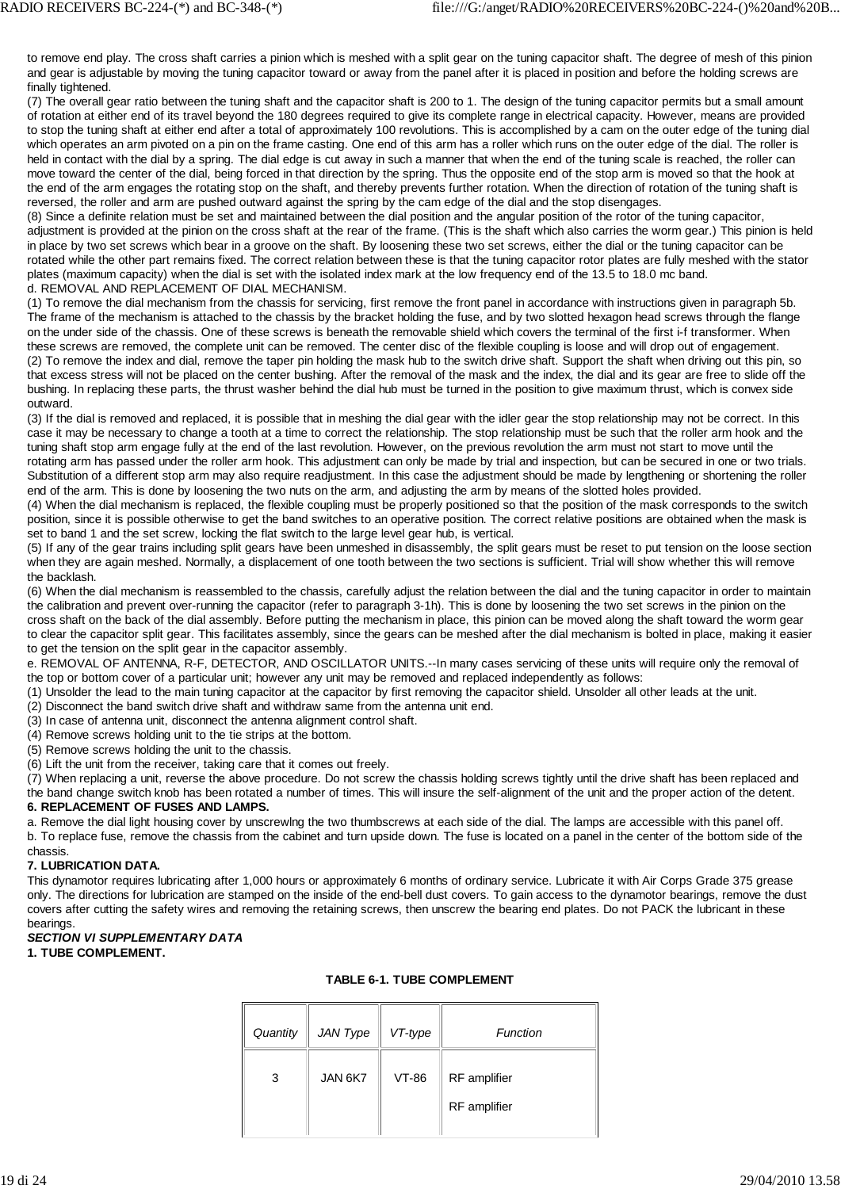to remove end play. The cross shaft carries a pinion which is meshed with a split gear on the tuning capacitor shaft. The degree of mesh of this pinion and gear is adjustable by moving the tuning capacitor toward or away from the panel after it is placed in position and before the holding screws are finally tightened.

(7) The overall gear ratio between the tuning shaft and the capacitor shaft is 200 to 1. The design of the tuning capacitor permits but a small amount of rotation at either end of its travel beyond the 180 degrees required to give its complete range in electrical capacity. However, means are provided to stop the tuning shaft at either end after a total of approximately 100 revolutions. This is accomplished by a cam on the outer edge of the tuning dial which operates an arm pivoted on a pin on the frame casting. One end of this arm has a roller which runs on the outer edge of the dial. The roller is held in contact with the dial by a spring. The dial edge is cut away in such a manner that when the end of the tuning scale is reached, the roller can move toward the center of the dial, being forced in that direction by the spring. Thus the opposite end of the stop arm is moved so that the hook at the end of the arm engages the rotating stop on the shaft, and thereby prevents further rotation. When the direction of rotation of the tuning shaft is reversed, the roller and arm are pushed outward against the spring by the cam edge of the dial and the stop disengages.

(8) Since a definite relation must be set and maintained between the dial position and the angular position of the rotor of the tuning capacitor, adjustment is provided at the pinion on the cross shaft at the rear of the frame. (This is the shaft which also carries the worm gear.) This pinion is held in place by two set screws which bear in a groove on the shaft. By loosening these two set screws, either the dial or the tuning capacitor can be rotated while the other part remains fixed. The correct relation between these is that the tuning capacitor rotor plates are fully meshed with the stator plates (maximum capacity) when the dial is set with the isolated index mark at the low frequency end of the 13.5 to 18.0 mc band. d. REMOVAL AND REPLACEMENT OF DIAL MECHANISM.

(1) To remove the dial mechanism from the chassis for servicing, first remove the front panel in accordance with instructions given in paragraph 5b. The frame of the mechanism is attached to the chassis by the bracket holding the fuse, and by two slotted hexagon head screws through the flange on the under side of the chassis. One of these screws is beneath the removable shield which covers the terminal of the first i-f transformer. When these screws are removed, the complete unit can be removed. The center disc of the flexible coupling is loose and will drop out of engagement. (2) To remove the index and dial, remove the taper pin holding the mask hub to the switch drive shaft. Support the shaft when driving out this pin, so that excess stress will not be placed on the center bushing. After the removal of the mask and the index, the dial and its gear are free to slide off the bushing. In replacing these parts, the thrust washer behind the dial hub must be turned in the position to give maximum thrust, which is convex side outward.

(3) If the dial is removed and replaced, it is possible that in meshing the dial gear with the idler gear the stop relationship may not be correct. In this case it may be necessary to change a tooth at a time to correct the relationship. The stop relationship must be such that the roller arm hook and the tuning shaft stop arm engage fully at the end of the last revolution. However, on the previous revolution the arm must not start to move until the rotating arm has passed under the roller arm hook. This adjustment can only be made by trial and inspection, but can be secured in one or two trials. Substitution of a different stop arm may also require readjustment. In this case the adjustment should be made by lengthening or shortening the roller end of the arm. This is done by loosening the two nuts on the arm, and adjusting the arm by means of the slotted holes provided.

(4) When the dial mechanism is replaced, the flexible coupling must be properly positioned so that the position of the mask corresponds to the switch position, since it is possible otherwise to get the band switches to an operative position. The correct relative positions are obtained when the mask is set to band 1 and the set screw, locking the flat switch to the large level gear hub, is vertical.

(5) If any of the gear trains including split gears have been unmeshed in disassembly, the split gears must be reset to put tension on the loose section when they are again meshed. Normally, a displacement of one tooth between the two sections is sufficient. Trial will show whether this will remove the backlash.

(6) When the dial mechanism is reassembled to the chassis, carefully adjust the relation between the dial and the tuning capacitor in order to maintain the calibration and prevent over-running the capacitor (refer to paragraph 3-1h). This is done by loosening the two set screws in the pinion on the cross shaft on the back of the dial assembly. Before putting the mechanism in place, this pinion can be moved along the shaft toward the worm gear to clear the capacitor split gear. This facilitates assembly, since the gears can be meshed after the dial mechanism is bolted in place, making it easier to get the tension on the split gear in the capacitor assembly.

e. REMOVAL OF ANTENNA, R-F, DETECTOR, AND OSCILLATOR UNITS.--In many cases servicing of these units will require only the removal of the top or bottom cover of a particular unit; however any unit may be removed and replaced independently as follows:

- (1) Unsolder the lead to the main tuning capacitor at the capacitor by first removing the capacitor shield. Unsolder all other leads at the unit.
- (2) Disconnect the band switch drive shaft and withdraw same from the antenna unit end.
- (3) In case of antenna unit, disconnect the antenna alignment control shaft.
- (4) Remove screws holding unit to the tie strips at the bottom.
- (5) Remove screws holding the unit to the chassis.
- (6) Lift the unit from the receiver, taking care that it comes out freely.

(7) When replacing a unit, reverse the above procedure. Do not screw the chassis holding screws tightly until the drive shaft has been replaced and the band change switch knob has been rotated a number of times. This will insure the self-alignment of the unit and the proper action of the detent.

## **6. REPLACEMENT OF FUSES AND LAMPS.**

a. Remove the dial light housing cover by unscrewlng the two thumbscrews at each side of the dial. The lamps are accessible with this panel off. b. To replace fuse, remove the chassis from the cabinet and turn upside down. The fuse is located on a panel in the center of the bottom side of the

#### chassis. **7. LUBRICATION DATA.**

This dynamotor requires lubricating after 1,000 hours or approximately 6 months of ordinary service. Lubricate it with Air Corps Grade 375 grease only. The directions for lubrication are stamped on the inside of the end-bell dust covers. To gain access to the dynamotor bearings, remove the dust covers after cutting the safety wires and removing the retaining screws, then unscrew the bearing end plates. Do not PACK the lubricant in these bearings.

## *SECTION VI SUPPLEMENTARY DATA*

## **1. TUBE COMPLEMENT.**

| Quantity | JAN Type | VT-type | Function                            |
|----------|----------|---------|-------------------------------------|
| 3        | JAN 6K7  | VT-86   | RF amplifier<br><b>RF</b> amplifier |
|          |          |         |                                     |

# **TABLE 6-1. TUBE COMPLEMENT**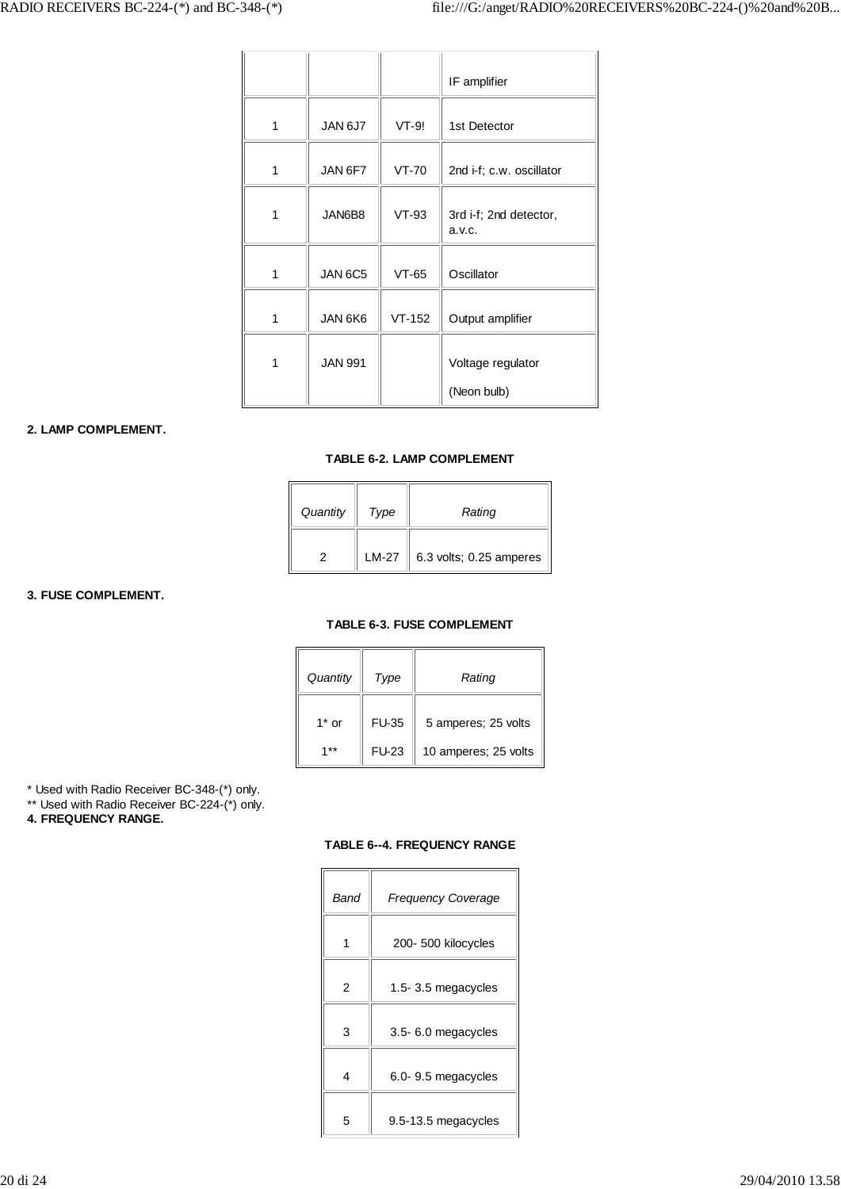|   |                |          | IF amplifier                     |
|---|----------------|----------|----------------------------------|
| 1 | JAN 6J7        | VT-9!    | 1st Detector                     |
| 1 | JAN 6F7        | $VT-70$  | 2nd i-f; c.w. oscillator         |
| 1 | JAN6B8         | $VT-93$  | 3rd i-f; 2nd detector,<br>a.v.c. |
| 1 | JAN 6C5        | $VT-65$  | Oscillator                       |
| 1 | JAN 6K6        | $VT-152$ | Output amplifier                 |
| 1 | <b>JAN 991</b> |          | Voltage regulator                |
|   |                |          | (Neon bulb)                      |

## **2. LAMP COMPLEMENT.**

## **TABLE 6-2. LAMP COMPLEMENT**

| Quantity | Type  | Rating                        |
|----------|-------|-------------------------------|
|          | LM-27 | 6.3 volts; 0.25 amperes<br>II |

**3. FUSE COMPLEMENT.**

## **TABLE 6-3. FUSE COMPLEMENT**

| Quantity | Type         | Rating               |
|----------|--------------|----------------------|
| $1^*$ or | <b>FU-35</b> | 5 amperes; 25 volts  |
| $1**$    | <b>FU-23</b> | 10 amperes; 25 volts |

\* Used with Radio Receiver BC-348-(\*) only.

\*\* Used with Radio Receiver BC-224-(\*) only.

**4. FREQUENCY RANGE.**

## **TABLE 6--4. FREQUENCY RANGE**

| Band | <b>Frequency Coverage</b> |
|------|---------------------------|
|      | 200- 500 kilocycles       |
| 2    | 1.5-3.5 megacycles        |
| 3    | 3.5-6.0 megacycles        |
| 4    | 6.0- 9.5 megacycles       |
| 5    | 9.5-13.5 megacycles       |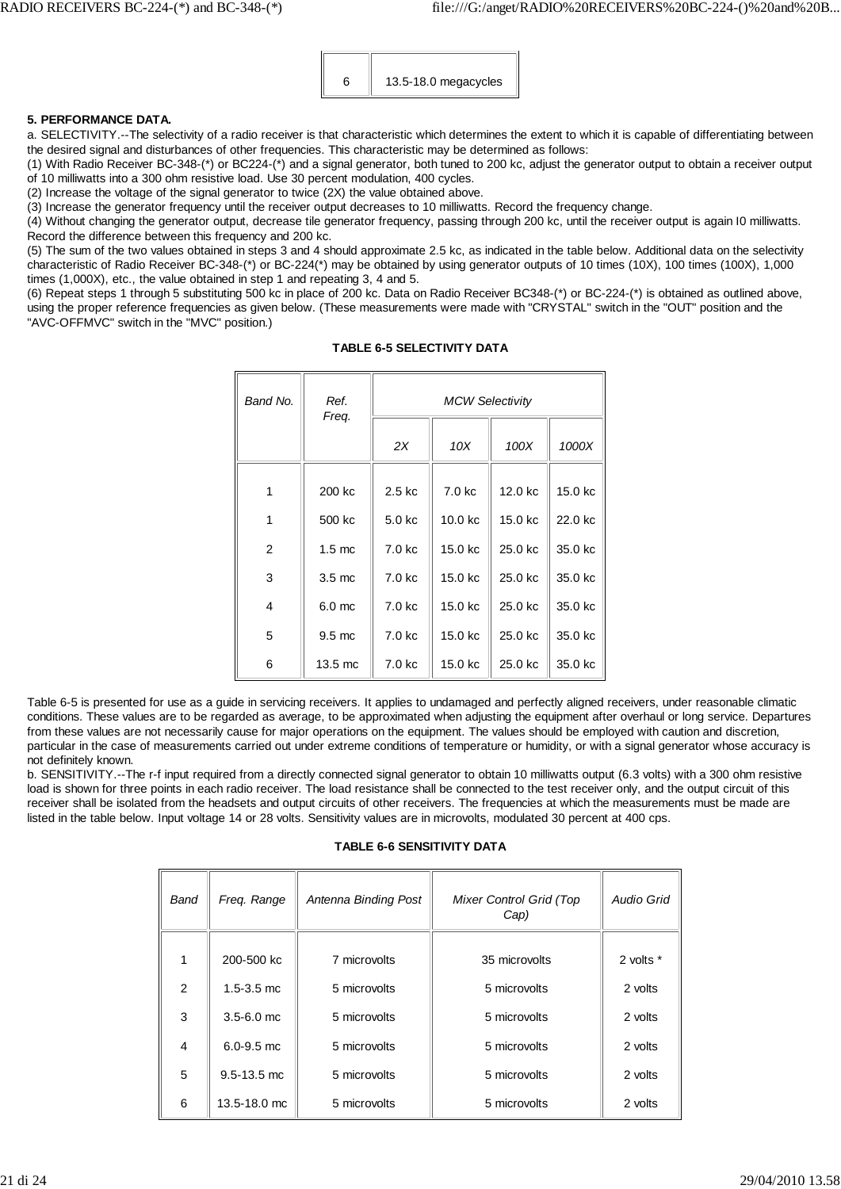

## **5. PERFORMANCE DATA.**

a. SELECTIVITY.--The selectivity of a radio receiver is that characteristic which determines the extent to which it is capable of differentiating between the desired signal and disturbances of other frequencies. This characteristic may be determined as follows:

(1) With Radio Receiver BC-348-(\*) or BC224-(\*) and a signal generator, both tuned to 200 kc, adjust the generator output to obtain a receiver output of 10 milliwatts into a 300 ohm resistive load. Use 30 percent modulation, 400 cycles.

(2) Increase the voltage of the signal generator to twice (2X) the value obtained above.

(3) Increase the generator frequency until the receiver output decreases to 10 milliwatts. Record the frequency change.

(4) Without changing the generator output, decrease tile generator frequency, passing through 200 kc, until the receiver output is again I0 milliwatts. Record the difference between this frequency and 200 kc.

(5) The sum of the two values obtained in steps 3 and 4 should approximate 2.5 kc, as indicated in the table below. Additional data on the selectivity characteristic of Radio Receiver BC-348-(\*) or BC-224(\*) may be obtained by using generator outputs of 10 times (10X), 100 times (100X), 1,000 times (1,000X), etc., the value obtained in step 1 and repeating 3, 4 and 5.

(6) Repeat steps 1 through 5 substituting 500 kc in place of 200 kc. Data on Radio Receiver BC348-(\*) or BC-224-(\*) is obtained as outlined above, using the proper reference frequencies as given below. (These measurements were made with "CRYSTAL" switch in the "OUT" position and the "AVC-OFFMVC" switch in the "MVC" position.)

| Band No.       | Ref.<br>Freq.    | <b>MCW Selectivity</b> |                   |         |         |  |  |
|----------------|------------------|------------------------|-------------------|---------|---------|--|--|
|                |                  | 2X                     | 10X               | 100X    | 1000X   |  |  |
|                |                  |                        |                   |         |         |  |  |
| 1              | 200 kc           | 2.5 kc                 | 7.0 <sub>kc</sub> | 12.0 kc | 15.0 kc |  |  |
| 1              | 500 kc           | 5.0 kc                 | 10.0 kc           | 15.0 kc | 22.0 kc |  |  |
| $\overline{2}$ | $1.5 \text{ mc}$ | 7.0 kc                 | 15.0 kc           | 25.0 kc | 35.0 kc |  |  |
| 3              | $3.5 \text{ mc}$ | 7.0 kc                 | 15.0 kc           | 25.0 kc | 35.0 kc |  |  |
| $\overline{4}$ | 6.0 mc           | 7.0 kc                 | 15.0 kc           | 25.0 kc | 35.0 kc |  |  |
| 5              | 9.5 mc           | 7.0 kc                 | 15.0 kc           | 25.0 kc | 35.0 kc |  |  |
| 6              | 13.5 mc          | 7.0 kc                 | 15.0 kc           | 25.0 kc | 35.0 kc |  |  |

## **TABLE 6-5 SELECTIVITY DATA**

Table 6-5 is presented for use as a guide in servicing receivers. It applies to undamaged and perfectly aligned receivers, under reasonable climatic conditions. These values are to be regarded as average, to be approximated when adjusting the equipment after overhaul or long service. Departures from these values are not necessarily cause for major operations on the equipment. The values should be employed with caution and discretion, particular in the case of measurements carried out under extreme conditions of temperature or humidity, or with a signal generator whose accuracy is not definitely known.

b. SENSITIVITY.--The r-f input required from a directly connected signal generator to obtain 10 milliwatts output (6.3 volts) with a 300 ohm resistive load is shown for three points in each radio receiver. The load resistance shall be connected to the test receiver only, and the output circuit of this receiver shall be isolated from the headsets and output circuits of other receivers. The frequencies at which the measurements must be made are listed in the table below. Input voltage 14 or 28 volts. Sensitivity values are in microvolts, modulated 30 percent at 400 cps.

#### **TABLE 6-6 SENSITIVITY DATA**

| Band           | Freq. Range     | Antenna Binding Post | Mixer Control Grid (Top<br>Cap) | <b>Audio Grid</b> |
|----------------|-----------------|----------------------|---------------------------------|-------------------|
| 1              | 200-500 kc      | 7 microvolts         | 35 microvolts                   | 2 volts *         |
|                |                 |                      |                                 |                   |
| 2              | $1.5 - 3.5$ mc  | 5 microvolts         | 5 microvolts                    | 2 volts           |
| 3              | $3.5 - 6.0$ mc  | 5 microvolts         | 5 microvolts                    | 2 volts           |
| $\overline{4}$ | $6.0 - 9.5$ mc  | 5 microvolts         | 5 microvolts                    | 2 volts           |
| 5              | $9.5 - 13.5$ mc | 5 microvolts         | 5 microvolts                    | 2 volts           |
| 6              | 13.5-18.0 mc    | 5 microvolts         | 5 microvolts                    | 2 volts           |